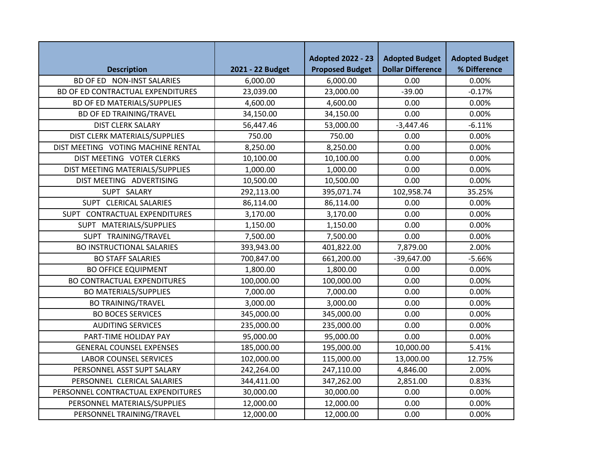|                                    |                  | <b>Adopted 2022 - 23</b> | <b>Adopted Budget</b>    | <b>Adopted Budget</b> |
|------------------------------------|------------------|--------------------------|--------------------------|-----------------------|
| <b>Description</b>                 | 2021 - 22 Budget | <b>Proposed Budget</b>   | <b>Dollar Difference</b> | % Difference          |
| BD OF ED NON-INST SALARIES         | 6,000.00         | 6,000.00                 | 0.00                     | 0.00%                 |
| BD OF ED CONTRACTUAL EXPENDITURES  | 23,039.00        | 23,000.00                | $-39.00$                 | $-0.17%$              |
| <b>BD OF ED MATERIALS/SUPPLIES</b> | 4,600.00         | 4,600.00                 | 0.00                     | 0.00%                 |
| <b>BD OF ED TRAINING/TRAVEL</b>    | 34,150.00        | 34,150.00                | 0.00                     | 0.00%                 |
| <b>DIST CLERK SALARY</b>           | 56,447.46        | 53,000.00                | $-3,447.46$              | $-6.11%$              |
| DIST CLERK MATERIALS/SUPPLIES      | 750.00           | 750.00                   | 0.00                     | 0.00%                 |
| DIST MEETING VOTING MACHINE RENTAL | 8,250.00         | 8,250.00                 | 0.00                     | 0.00%                 |
| DIST MEETING VOTER CLERKS          | 10,100.00        | 10,100.00                | 0.00                     | 0.00%                 |
| DIST MEETING MATERIALS/SUPPLIES    | 1,000.00         | 1,000.00                 | 0.00                     | 0.00%                 |
| DIST MEETING ADVERTISING           | 10,500.00        | 10,500.00                | 0.00                     | 0.00%                 |
| SUPT SALARY                        | 292,113.00       | 395,071.74               | 102,958.74               | 35.25%                |
| SUPT CLERICAL SALARIES             | 86,114.00        | 86,114.00                | 0.00                     | 0.00%                 |
| SUPT CONTRACTUAL EXPENDITURES      | 3,170.00         | 3,170.00                 | 0.00                     | 0.00%                 |
| SUPT MATERIALS/SUPPLIES            | 1,150.00         | 1,150.00                 | 0.00                     | 0.00%                 |
| SUPT TRAINING/TRAVEL               | 7,500.00         | 7,500.00                 | 0.00                     | 0.00%                 |
| <b>BO INSTRUCTIONAL SALARIES</b>   | 393,943.00       | 401,822.00               | 7,879.00                 | 2.00%                 |
| <b>BO STAFF SALARIES</b>           | 700,847.00       | 661,200.00               | $-39,647.00$             | $-5.66%$              |
| <b>BO OFFICE EQUIPMENT</b>         | 1,800.00         | 1,800.00                 | 0.00                     | 0.00%                 |
| <b>BO CONTRACTUAL EXPENDITURES</b> | 100,000.00       | 100,000.00               | 0.00                     | 0.00%                 |
| <b>BO MATERIALS/SUPPLIES</b>       | 7,000.00         | 7,000.00                 | 0.00                     | 0.00%                 |
| <b>BO TRAINING/TRAVEL</b>          | 3,000.00         | 3,000.00                 | 0.00                     | 0.00%                 |
| <b>BO BOCES SERVICES</b>           | 345,000.00       | 345,000.00               | 0.00                     | 0.00%                 |
| <b>AUDITING SERVICES</b>           | 235,000.00       | 235,000.00               | 0.00                     | 0.00%                 |
| PART-TIME HOLIDAY PAY              | 95,000.00        | 95,000.00                | 0.00                     | 0.00%                 |
| <b>GENERAL COUNSEL EXPENSES</b>    | 185,000.00       | 195,000.00               | 10,000.00                | 5.41%                 |
| <b>LABOR COUNSEL SERVICES</b>      | 102,000.00       | 115,000.00               | 13,000.00                | 12.75%                |
| PERSONNEL ASST SUPT SALARY         | 242,264.00       | 247,110.00               | 4,846.00                 | 2.00%                 |
| PERSONNEL CLERICAL SALARIES        | 344,411.00       | 347,262.00               | 2,851.00                 | 0.83%                 |
| PERSONNEL CONTRACTUAL EXPENDITURES | 30,000.00        | 30,000.00                | 0.00                     | 0.00%                 |
| PERSONNEL MATERIALS/SUPPLIES       | 12,000.00        | 12,000.00                | 0.00                     | 0.00%                 |
| PERSONNEL TRAINING/TRAVEL          | 12,000.00        | 12,000.00                | 0.00                     | 0.00%                 |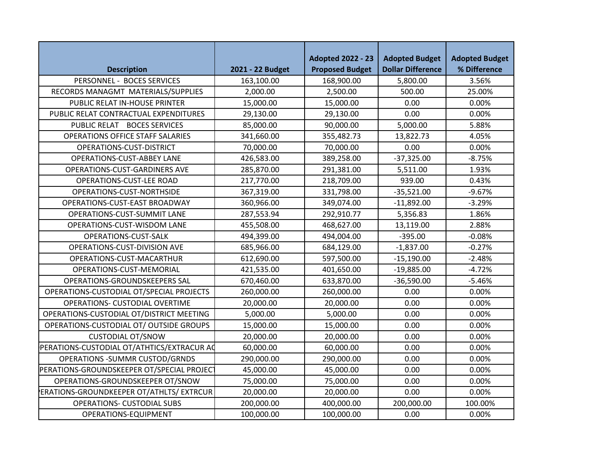|                                                 |                  | <b>Adopted 2022 - 23</b> | <b>Adopted Budget</b>    | <b>Adopted Budget</b> |
|-------------------------------------------------|------------------|--------------------------|--------------------------|-----------------------|
| <b>Description</b>                              | 2021 - 22 Budget | <b>Proposed Budget</b>   | <b>Dollar Difference</b> | % Difference          |
| PERSONNEL - BOCES SERVICES                      | 163,100.00       | 168,900.00               | 5,800.00                 | 3.56%                 |
| RECORDS MANAGMT MATERIALS/SUPPLIES              | 2,000.00         | 2,500.00                 | 500.00                   | 25.00%                |
| PUBLIC RELAT IN-HOUSE PRINTER                   | 15,000.00        | 15,000.00                | 0.00                     | 0.00%                 |
| PUBLIC RELAT CONTRACTUAL EXPENDITURES           | 29,130.00        | 29,130.00                | 0.00                     | 0.00%                 |
| PUBLIC RELAT BOCES SERVICES                     | 85,000.00        | 90,000.00                | 5,000.00                 | 5.88%                 |
| <b>OPERATIONS OFFICE STAFF SALARIES</b>         | 341,660.00       | 355,482.73               | 13,822.73                | 4.05%                 |
| OPERATIONS-CUST-DISTRICT                        | 70,000.00        | 70,000.00                | 0.00                     | 0.00%                 |
| <b>OPERATIONS-CUST-ABBEY LANE</b>               | 426,583.00       | 389,258.00               | $-37,325.00$             | $-8.75%$              |
| OPERATIONS-CUST-GARDINERS AVE                   | 285,870.00       | 291,381.00               | 5,511.00                 | 1.93%                 |
| OPERATIONS-CUST-LEE ROAD                        | 217,770.00       | 218,709.00               | 939.00                   | 0.43%                 |
| OPERATIONS-CUST-NORTHSIDE                       | 367,319.00       | 331,798.00               | $-35,521.00$             | $-9.67%$              |
| OPERATIONS-CUST-EAST BROADWAY                   | 360,966.00       | 349,074.00               | $-11,892.00$             | $-3.29%$              |
| OPERATIONS-CUST-SUMMIT LANE                     | 287,553.94       | 292,910.77               | 5,356.83                 | 1.86%                 |
| OPERATIONS-CUST-WISDOM LANE                     | 455,508.00       | 468,627.00               | 13,119.00                | 2.88%                 |
| OPERATIONS-CUST-SALK                            | 494,399.00       | 494,004.00               | $-395.00$                | $-0.08%$              |
| OPERATIONS-CUST-DIVISION AVE                    | 685,966.00       | 684,129.00               | $-1,837.00$              | $-0.27%$              |
| OPERATIONS-CUST-MACARTHUR                       | 612,690.00       | 597,500.00               | $-15,190.00$             | $-2.48%$              |
| OPERATIONS-CUST-MEMORIAL                        | 421,535.00       | 401,650.00               | $-19,885.00$             | $-4.72%$              |
| OPERATIONS-GROUNDSKEEPERS SAL                   | 670,460.00       | 633,870.00               | $-36,590.00$             | $-5.46%$              |
| OPERATIONS-CUSTODIAL OT/SPECIAL PROJECTS        | 260,000.00       | 260,000.00               | 0.00                     | 0.00%                 |
| OPERATIONS- CUSTODIAL OVERTIME                  | 20,000.00        | 20,000.00                | 0.00                     | 0.00%                 |
| OPERATIONS-CUSTODIAL OT/DISTRICT MEETING        | 5,000.00         | 5,000.00                 | 0.00                     | 0.00%                 |
| OPERATIONS-CUSTODIAL OT/ OUTSIDE GROUPS         | 15,000.00        | 15,000.00                | 0.00                     | 0.00%                 |
| <b>CUSTODIAL OT/SNOW</b>                        | 20,000.00        | 20,000.00                | 0.00                     | 0.00%                 |
| PERATIONS-CUSTODIAL OT/ATHTICS/EXTRACUR AQ      | 60,000.00        | 60,000.00                | 0.00                     | 0.00%                 |
| <b>OPERATIONS -SUMMR CUSTOD/GRNDS</b>           | 290,000.00       | 290,000.00               | 0.00                     | 0.00%                 |
| PERATIONS-GROUNDSKEEPER OT/SPECIAL PROJECT      | 45,000.00        | 45,000.00                | 0.00                     | 0.00%                 |
| OPERATIONS-GROUNDSKEEPER OT/SNOW                | 75,000.00        | 75,000.00                | 0.00                     | 0.00%                 |
| <b>ERATIONS-GROUNDKEEPER OT/ATHLTS/ EXTRCUR</b> | 20,000.00        | 20,000.00                | 0.00                     | 0.00%                 |
| <b>OPERATIONS- CUSTODIAL SUBS</b>               | 200,000.00       | 400,000.00               | 200,000.00               | 100.00%               |
| OPERATIONS-EQUIPMENT                            | 100,000.00       | 100,000.00               | 0.00                     | 0.00%                 |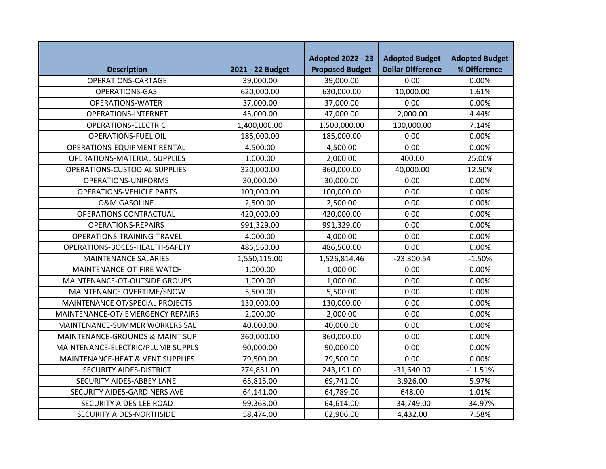|                                      |                  | <b>Adopted 2022 - 23</b> | <b>Adopted Budget</b>    | <b>Adopted Budget</b> |
|--------------------------------------|------------------|--------------------------|--------------------------|-----------------------|
| <b>Description</b>                   | 2021 - 22 Budget | <b>Proposed Budget</b>   | <b>Dollar Difference</b> | % Difference          |
| OPERATIONS-CARTAGE                   | 39,000.00        | 39,000.00                | 0.00                     | 0.00%                 |
| <b>OPERATIONS-GAS</b>                | 620,000.00       | 630,000.00               | 10,000.00                | 1.61%                 |
| <b>OPERATIONS-WATER</b>              | 37,000.00        | 37,000.00                | 0.00                     | 0.00%                 |
| <b>OPERATIONS-INTERNET</b>           | 45,000.00        | 47,000.00                | 2,000.00                 | 4.44%                 |
| OPERATIONS-ELECTRIC                  | 1,400,000.00     | 1,500,000.00             | 100,000.00               | 7.14%                 |
| <b>OPERATIONS-FUEL OIL</b>           | 185,000.00       | 185,000.00               | 0.00                     | 0.00%                 |
| <b>OPERATIONS-EQUIPMENT RENTAL</b>   | 4,500.00         | 4,500.00                 | 0.00                     | 0.00%                 |
| <b>OPERATIONS-MATERIAL SUPPLIES</b>  | 1,600.00         | 2,000.00                 | 400.00                   | 25.00%                |
| <b>OPERATIONS-CUSTODIAL SUPPLIES</b> | 320,000.00       | 360,000.00               | 40,000.00                | 12.50%                |
| OPERATIONS-UNIFORMS                  | 30,000.00        | 30,000.00                | 0.00                     | 0.00%                 |
| <b>OPERATIONS-VEHICLE PARTS</b>      | 100,000.00       | 100,000.00               | 0.00                     | 0.00%                 |
| <b>O&amp;M GASOLINE</b>              | 2,500.00         | 2,500.00                 | 0.00                     | 0.00%                 |
| OPERATIONS CONTRACTUAL               | 420,000.00       | 420,000.00               | 0.00                     | 0.00%                 |
| <b>OPERATIONS-REPAIRS</b>            | 991,329.00       | 991,329.00               | 0.00                     | 0.00%                 |
| OPERATIONS-TRAINING-TRAVEL           | 4,000.00         | 4,000.00                 | 0.00                     | 0.00%                 |
| OPERATIONS-BOCES-HEALTH-SAFETY       | 486,560.00       | 486,560.00               | 0.00                     | 0.00%                 |
| <b>MAINTENANCE SALARIES</b>          | 1,550,115.00     | 1,526,814.46             | $-23,300.54$             | $-1.50%$              |
| <b>MAINTENANCE-OT-FIRE WATCH</b>     | 1,000.00         | 1,000.00                 | 0.00                     | 0.00%                 |
| MAINTENANCE-OT-OUTSIDE GROUPS        | 1,000.00         | 1,000.00                 | 0.00                     | 0.00%                 |
| MAINTENANCE OVERTIME/SNOW            | 5,500.00         | 5,500.00                 | 0.00                     | 0.00%                 |
| MAINTENANCE OT/SPECIAL PROJECTS      | 130,000.00       | 130,000.00               | 0.00                     | 0.00%                 |
| MAINTENANCE-OT/EMERGENCY REPAIRS     | 2,000.00         | 2,000.00                 | 0.00                     | 0.00%                 |
| MAINTENANCE-SUMMER WORKERS SAL       | 40,000.00        | 40,000.00                | 0.00                     | 0.00%                 |
| MAINTENANCE-GROUNDS & MAINT SUP      | 360,000.00       | 360,000.00               | 0.00                     | 0.00%                 |
| MAINTENANCE-ELECTRIC/PLUMB SUPPLS    | 90,000.00        | 90,000.00                | 0.00                     | 0.00%                 |
| MAINTENANCE-HEAT & VENT SUPPLIES     | 79,500.00        | 79,500.00                | 0.00                     | 0.00%                 |
| SECURITY AIDES-DISTRICT              | 274,831.00       | 243,191.00               | $-31,640.00$             | $-11.51%$             |
| SECURITY AIDES-ABBEY LANE            | 65,815.00        | 69,741.00                | 3,926.00                 | 5.97%                 |
| SECURITY AIDES-GARDINERS AVE         | 64,141.00        | 64,789.00                | 648.00                   | 1.01%                 |
| SECURITY AIDES-LEE ROAD              | 99,363.00        | 64,614.00                | $-34,749.00$             | $-34.97%$             |
| SECURITY AIDES-NORTHSIDE             | 58,474.00        | 62,906.00                | 4,432.00                 | 7.58%                 |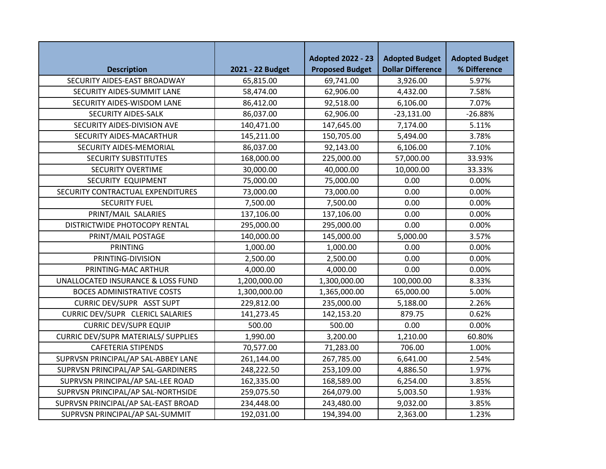|                                              |                  | <b>Adopted 2022 - 23</b> | <b>Adopted Budget</b>    | <b>Adopted Budget</b> |
|----------------------------------------------|------------------|--------------------------|--------------------------|-----------------------|
| <b>Description</b>                           | 2021 - 22 Budget | <b>Proposed Budget</b>   | <b>Dollar Difference</b> | % Difference          |
| SECURITY AIDES-EAST BROADWAY                 | 65,815.00        | 69,741.00                | 3,926.00                 | 5.97%                 |
| SECURITY AIDES-SUMMIT LANE                   | 58,474.00        | 62,906.00                | 4,432.00                 | 7.58%                 |
| SECURITY AIDES-WISDOM LANE                   | 86,412.00        | 92,518.00                | 6,106.00                 | 7.07%                 |
| SECURITY AIDES-SALK                          | 86,037.00        | 62,906.00                | $-23,131.00$             | $-26.88%$             |
| SECURITY AIDES-DIVISION AVE                  | 140,471.00       | 147,645.00               | 7,174.00                 | 5.11%                 |
| SECURITY AIDES-MACARTHUR                     | 145,211.00       | 150,705.00               | 5,494.00                 | 3.78%                 |
| SECURITY AIDES-MEMORIAL                      | 86,037.00        | 92,143.00                | 6,106.00                 | 7.10%                 |
| <b>SECURITY SUBSTITUTES</b>                  | 168,000.00       | 225,000.00               | 57,000.00                | 33.93%                |
| <b>SECURITY OVERTIME</b>                     | 30,000.00        | 40,000.00                | 10,000.00                | 33.33%                |
| SECURITY EQUIPMENT                           | 75,000.00        | 75,000.00                | 0.00                     | 0.00%                 |
| SECURITY CONTRACTUAL EXPENDITURES            | 73,000.00        | 73,000.00                | 0.00                     | 0.00%                 |
| <b>SECURITY FUEL</b>                         | 7,500.00         | 7,500.00                 | 0.00                     | 0.00%                 |
| PRINT/MAIL SALARIES                          | 137,106.00       | 137,106.00               | 0.00                     | 0.00%                 |
| DISTRICTWIDE PHOTOCOPY RENTAL                | 295,000.00       | 295,000.00               | 0.00                     | 0.00%                 |
| PRINT/MAIL POSTAGE                           | 140,000.00       | 145,000.00               | 5,000.00                 | 3.57%                 |
| <b>PRINTING</b>                              | 1,000.00         | 1,000.00                 | 0.00                     | 0.00%                 |
| PRINTING-DIVISION                            | 2,500.00         | 2,500.00                 | 0.00                     | 0.00%                 |
| PRINTING-MAC ARTHUR                          | 4,000.00         | 4,000.00                 | 0.00                     | 0.00%                 |
| <b>UNALLOCATED INSURANCE &amp; LOSS FUND</b> | 1,200,000.00     | 1,300,000.00             | 100,000.00               | 8.33%                 |
| <b>BOCES ADMINISTRATIVE COSTS</b>            | 1,300,000.00     | 1,365,000.00             | 65,000.00                | 5.00%                 |
| <b>CURRIC DEV/SUPR ASST SUPT</b>             | 229,812.00       | 235,000.00               | 5,188.00                 | 2.26%                 |
| <b>CURRIC DEV/SUPR CLERICL SALARIES</b>      | 141,273.45       | 142,153.20               | 879.75                   | 0.62%                 |
| <b>CURRIC DEV/SUPR EQUIP</b>                 | 500.00           | 500.00                   | 0.00                     | 0.00%                 |
| <b>CURRIC DEV/SUPR MATERIALS/ SUPPLIES</b>   | 1,990.00         | 3,200.00                 | 1,210.00                 | 60.80%                |
| <b>CAFETERIA STIPENDS</b>                    | 70,577.00        | 71,283.00                | 706.00                   | 1.00%                 |
| SUPRVSN PRINCIPAL/AP SAL-ABBEY LANE          | 261,144.00       | 267,785.00               | 6,641.00                 | 2.54%                 |
| SUPRVSN PRINCIPAL/AP SAL-GARDINERS           | 248,222.50       | 253,109.00               | 4,886.50                 | 1.97%                 |
| SUPRVSN PRINCIPAL/AP SAL-LEE ROAD            | 162,335.00       | 168,589.00               | 6,254.00                 | 3.85%                 |
| SUPRVSN PRINCIPAL/AP SAL-NORTHSIDE           | 259,075.50       | 264,079.00               | 5,003.50                 | 1.93%                 |
| SUPRVSN PRINCIPAL/AP SAL-EAST BROAD          | 234,448.00       | 243,480.00               | 9,032.00                 | 3.85%                 |
| SUPRVSN PRINCIPAL/AP SAL-SUMMIT              | 192,031.00       | 194,394.00               | 2,363.00                 | 1.23%                 |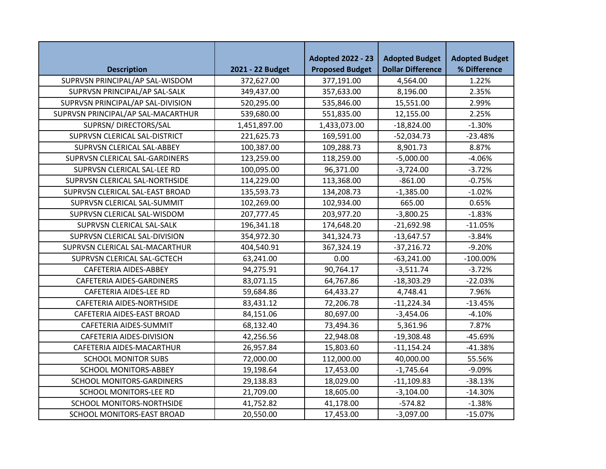|                                    |                  | <b>Adopted 2022 - 23</b> | <b>Adopted Budget</b>    | <b>Adopted Budget</b> |
|------------------------------------|------------------|--------------------------|--------------------------|-----------------------|
| <b>Description</b>                 | 2021 - 22 Budget | <b>Proposed Budget</b>   | <b>Dollar Difference</b> | % Difference          |
| SUPRVSN PRINCIPAL/AP SAL-WISDOM    | 372,627.00       | 377,191.00               | 4,564.00                 | 1.22%                 |
| SUPRVSN PRINCIPAL/AP SAL-SALK      | 349,437.00       | 357,633.00               | 8,196.00                 | 2.35%                 |
| SUPRVSN PRINCIPAL/AP SAL-DIVISION  | 520,295.00       | 535,846.00               | 15,551.00                | 2.99%                 |
| SUPRVSN PRINCIPAL/AP SAL-MACARTHUR | 539,680.00       | 551,835.00               | 12,155.00                | 2.25%                 |
| SUPRSN/DIRECTORS/SAL               | 1,451,897.00     | 1,433,073.00             | $-18,824.00$             | $-1.30%$              |
| SUPRVSN CLERICAL SAL-DISTRICT      | 221,625.73       | 169,591.00               | $-52,034.73$             | $-23.48%$             |
| SUPRVSN CLERICAL SAL-ABBEY         | 100,387.00       | 109,288.73               | 8,901.73                 | 8.87%                 |
| SUPRVSN CLERICAL SAL-GARDINERS     | 123,259.00       | 118,259.00               | $-5,000.00$              | $-4.06%$              |
| SUPRVSN CLERICAL SAL-LEE RD        | 100,095.00       | 96,371.00                | $-3,724.00$              | $-3.72%$              |
| SUPRVSN CLERICAL SAL-NORTHSIDE     | 114,229.00       | 113,368.00               | $-861.00$                | $-0.75%$              |
| SUPRVSN CLERICAL SAL-EAST BROAD    | 135,593.73       | 134,208.73               | $-1,385.00$              | $-1.02%$              |
| SUPRVSN CLERICAL SAL-SUMMIT        | 102,269.00       | 102,934.00               | 665.00                   | 0.65%                 |
| SUPRVSN CLERICAL SAL-WISDOM        | 207,777.45       | 203,977.20               | $-3,800.25$              | $-1.83%$              |
| SUPRVSN CLERICAL SAL-SALK          | 196,341.18       | 174,648.20               | $-21,692.98$             | $-11.05%$             |
| SUPRVSN CLERICAL SAL-DIVISION      | 354,972.30       | 341,324.73               | $-13,647.57$             | $-3.84%$              |
| SUPRVSN CLERICAL SAL-MACARTHUR     | 404,540.91       | 367,324.19               | $-37,216.72$             | $-9.20%$              |
| SUPRVSN CLERICAL SAL-GCTECH        | 63,241.00        | 0.00                     | $-63,241.00$             | $-100.00\%$           |
| CAFETERIA AIDES-ABBEY              | 94,275.91        | 90,764.17                | $-3,511.74$              | $-3.72%$              |
| CAFETERIA AIDES-GARDINERS          | 83,071.15        | 64,767.86                | $-18,303.29$             | $-22.03%$             |
| CAFETERIA AIDES-LEE RD             | 59,684.86        | 64,433.27                | 4,748.41                 | 7.96%                 |
| CAFETERIA AIDES-NORTHSIDE          | 83,431.12        | 72,206.78                | $-11,224.34$             | $-13.45%$             |
| CAFETERIA AIDES-EAST BROAD         | 84,151.06        | 80,697.00                | $-3,454.06$              | $-4.10%$              |
| CAFETERIA AIDES-SUMMIT             | 68,132.40        | 73,494.36                | 5,361.96                 | 7.87%                 |
| CAFETERIA AIDES-DIVISION           | 42,256.56        | 22,948.08                | $-19,308.48$             | $-45.69%$             |
| CAFETERIA AIDES-MACARTHUR          | 26,957.84        | 15,803.60                | $-11,154.24$             | $-41.38%$             |
| <b>SCHOOL MONITOR SUBS</b>         | 72,000.00        | 112,000.00               | 40,000.00                | 55.56%                |
| <b>SCHOOL MONITORS-ABBEY</b>       | 19,198.64        | 17,453.00                | $-1,745.64$              | $-9.09%$              |
| SCHOOL MONITORS-GARDINERS          | 29,138.83        | 18,029.00                | $-11,109.83$             | $-38.13%$             |
| <b>SCHOOL MONITORS-LEE RD</b>      | 21,709.00        | 18,605.00                | $-3,104.00$              | $-14.30%$             |
| <b>SCHOOL MONITORS-NORTHSIDE</b>   | 41,752.82        | 41,178.00                | $-574.82$                | $-1.38%$              |
| SCHOOL MONITORS-EAST BROAD         | 20,550.00        | 17,453.00                | $-3,097.00$              | $-15.07%$             |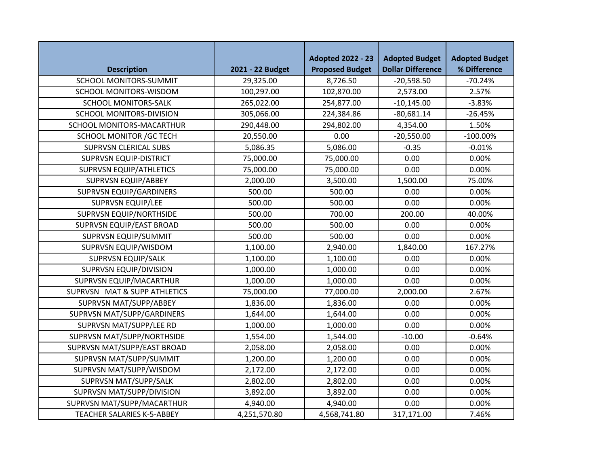|                                   |                  | <b>Adopted 2022 - 23</b> | <b>Adopted Budget</b>    | <b>Adopted Budget</b> |
|-----------------------------------|------------------|--------------------------|--------------------------|-----------------------|
| <b>Description</b>                | 2021 - 22 Budget | <b>Proposed Budget</b>   | <b>Dollar Difference</b> | % Difference          |
| <b>SCHOOL MONITORS-SUMMIT</b>     | 29,325.00        | 8,726.50                 | $-20,598.50$             | $-70.24%$             |
| <b>SCHOOL MONITORS-WISDOM</b>     | 100,297.00       | 102,870.00               | 2,573.00                 | 2.57%                 |
| <b>SCHOOL MONITORS-SALK</b>       | 265,022.00       | 254,877.00               | $-10,145.00$             | $-3.83%$              |
| <b>SCHOOL MONITORS-DIVISION</b>   | 305,066.00       | 224,384.86               | $-80,681.14$             | $-26.45%$             |
| SCHOOL MONITORS-MACARTHUR         | 290,448.00       | 294,802.00               | 4,354.00                 | 1.50%                 |
| <b>SCHOOL MONITOR / GC TECH</b>   | 20,550.00        | 0.00                     | $-20,550.00$             | $-100.00\%$           |
| <b>SUPRVSN CLERICAL SUBS</b>      | 5,086.35         | 5,086.00                 | $-0.35$                  | $-0.01%$              |
| <b>SUPRVSN EQUIP-DISTRICT</b>     | 75,000.00        | 75,000.00                | 0.00                     | 0.00%                 |
| <b>SUPRVSN EQUIP/ATHLETICS</b>    | 75,000.00        | 75,000.00                | 0.00                     | 0.00%                 |
| <b>SUPRVSN EQUIP/ABBEY</b>        | 2,000.00         | 3,500.00                 | 1,500.00                 | 75.00%                |
| <b>SUPRVSN EQUIP/GARDINERS</b>    | 500.00           | 500.00                   | 0.00                     | 0.00%                 |
| <b>SUPRVSN EQUIP/LEE</b>          | 500.00           | 500.00                   | 0.00                     | 0.00%                 |
| <b>SUPRVSN EQUIP/NORTHSIDE</b>    | 500.00           | 700.00                   | 200.00                   | 40.00%                |
| <b>SUPRVSN EQUIP/EAST BROAD</b>   | 500.00           | 500.00                   | 0.00                     | 0.00%                 |
| SUPRVSN EQUIP/SUMMIT              | 500.00           | 500.00                   | 0.00                     | 0.00%                 |
| SUPRVSN EQUIP/WISDOM              | 1,100.00         | 2,940.00                 | 1,840.00                 | 167.27%               |
| <b>SUPRVSN EQUIP/SALK</b>         | 1,100.00         | 1,100.00                 | 0.00                     | 0.00%                 |
| <b>SUPRVSN EQUIP/DIVISION</b>     | 1,000.00         | 1,000.00                 | 0.00                     | 0.00%                 |
| SUPRVSN EQUIP/MACARTHUR           | 1,000.00         | 1,000.00                 | 0.00                     | 0.00%                 |
| SUPRVSN MAT & SUPP ATHLETICS      | 75,000.00        | 77,000.00                | 2,000.00                 | 2.67%                 |
| SUPRVSN MAT/SUPP/ABBEY            | 1,836.00         | 1,836.00                 | 0.00                     | 0.00%                 |
| SUPRVSN MAT/SUPP/GARDINERS        | 1,644.00         | 1,644.00                 | 0.00                     | 0.00%                 |
| SUPRVSN MAT/SUPP/LEE RD           | 1,000.00         | 1,000.00                 | 0.00                     | 0.00%                 |
| SUPRVSN MAT/SUPP/NORTHSIDE        | 1,554.00         | 1,544.00                 | $-10.00$                 | $-0.64%$              |
| SUPRVSN MAT/SUPP/EAST BROAD       | 2,058.00         | 2,058.00                 | 0.00                     | 0.00%                 |
| SUPRVSN MAT/SUPP/SUMMIT           | 1,200.00         | 1,200.00                 | 0.00                     | 0.00%                 |
| SUPRVSN MAT/SUPP/WISDOM           | 2,172.00         | 2,172.00                 | 0.00                     | 0.00%                 |
| SUPRVSN MAT/SUPP/SALK             | 2,802.00         | 2,802.00                 | 0.00                     | 0.00%                 |
| SUPRVSN MAT/SUPP/DIVISION         | 3,892.00         | 3,892.00                 | 0.00                     | 0.00%                 |
| SUPRVSN MAT/SUPP/MACARTHUR        | 4,940.00         | 4,940.00                 | 0.00                     | 0.00%                 |
| <b>TEACHER SALARIES K-5-ABBEY</b> | 4,251,570.80     | 4,568,741.80             | 317,171.00               | 7.46%                 |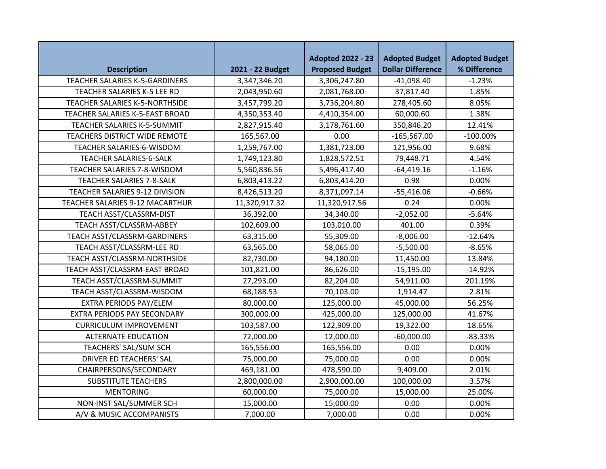|                                 |                  | <b>Adopted 2022 - 23</b> | <b>Adopted Budget</b>    | <b>Adopted Budget</b> |
|---------------------------------|------------------|--------------------------|--------------------------|-----------------------|
| <b>Description</b>              | 2021 - 22 Budget | <b>Proposed Budget</b>   | <b>Dollar Difference</b> | % Difference          |
| TEACHER SALARIES K-5-GARDINERS  | 3,347,346.20     | 3,306,247.80             | $-41,098.40$             | $-1.23%$              |
| TEACHER SALARIES K-5 LEE RD     | 2,043,950.60     | 2,081,768.00             | 37,817.40                | 1.85%                 |
| TEACHER SALARIES K-5-NORTHSIDE  | 3,457,799.20     | 3,736,204.80             | 278,405.60               | 8.05%                 |
| TEACHER SALARIES K-5-EAST BROAD | 4,350,353.40     | 4,410,354.00             | 60,000.60                | 1.38%                 |
| TEACHER SALARIES K-5-SUMMIT     | 2,827,915.40     | 3,178,761.60             | 350,846.20               | 12.41%                |
| TEACHERS DISTRICT WIDE REMOTE   | 165,567.00       | 0.00                     | $-165,567.00$            | $-100.00\%$           |
| TEACHER SALARIES-6-WISDOM       | 1,259,767.00     | 1,381,723.00             | 121,956.00               | 9.68%                 |
| TEACHER SALARIES-6-SALK         | 1,749,123.80     | 1,828,572.51             | 79,448.71                | 4.54%                 |
| TEACHER SALARIES 7-8-WISDOM     | 5,560,836.56     | 5,496,417.40             | $-64,419.16$             | $-1.16%$              |
| TEACHER SALARIES 7-8-SALK       | 6,803,413.22     | 6,803,414.20             | 0.98                     | 0.00%                 |
| TEACHER SALARIES 9-12 DIVISION  | 8,426,513.20     | 8,371,097.14             | $-55,416.06$             | $-0.66%$              |
| TEACHER SALARIES 9-12 MACARTHUR | 11,320,917.32    | 11,320,917.56            | 0.24                     | 0.00%                 |
| TEACH ASST/CLASSRM-DIST         | 36,392.00        | 34,340.00                | $-2,052.00$              | $-5.64%$              |
| TEACH ASST/CLASSRM-ABBEY        | 102,609.00       | 103,010.00               | 401.00                   | 0.39%                 |
| TEACH ASST/CLASSRM-GARDINERS    | 63,315.00        | 55,309.00                | $-8,006.00$              | $-12.64%$             |
| TEACH ASST/CLASSRM-LEE RD       | 63,565.00        | 58,065.00                | $-5,500.00$              | $-8.65%$              |
| TEACH ASST/CLASSRM-NORTHSIDE    | 82,730.00        | 94,180.00                | 11,450.00                | 13.84%                |
| TEACH ASST/CLASSRM-EAST BROAD   | 101,821.00       | 86,626.00                | $-15,195.00$             | $-14.92%$             |
| TEACH ASST/CLASSRM-SUMMIT       | 27,293.00        | 82,204.00                | 54,911.00                | 201.19%               |
| TEACH ASST/CLASSRM-WISDOM       | 68,188.53        | 70,103.00                | 1,914.47                 | 2.81%                 |
| <b>EXTRA PERIODS PAY/ELEM</b>   | 80,000.00        | 125,000.00               | 45,000.00                | 56.25%                |
| EXTRA PERIODS PAY SECONDARY     | 300,000.00       | 425,000.00               | 125,000.00               | 41.67%                |
| <b>CURRICULUM IMPROVEMENT</b>   | 103,587.00       | 122,909.00               | 19,322.00                | 18.65%                |
| <b>ALTERNATE EDUCATION</b>      | 72,000.00        | 12,000.00                | $-60,000.00$             | $-83.33%$             |
| TEACHERS' SAL/SUM SCH           | 165,556.00       | 165,556.00               | 0.00                     | 0.00%                 |
| <b>DRIVER ED TEACHERS' SAL</b>  | 75,000.00        | 75,000.00                | 0.00                     | 0.00%                 |
| CHAIRPERSONS/SECONDARY          | 469,181.00       | 478,590.00               | 9,409.00                 | 2.01%                 |
| <b>SUBSTITUTE TEACHERS</b>      | 2,800,000.00     | 2,900,000.00             | 100,000.00               | 3.57%                 |
| <b>MENTORING</b>                | 60,000.00        | 75,000.00                | 15,000.00                | 25.00%                |
| NON-INST SAL/SUMMER SCH         | 15,000.00        | 15,000.00                | 0.00                     | 0.00%                 |
| A/V & MUSIC ACCOMPANISTS        | 7,000.00         | 7,000.00                 | 0.00                     | 0.00%                 |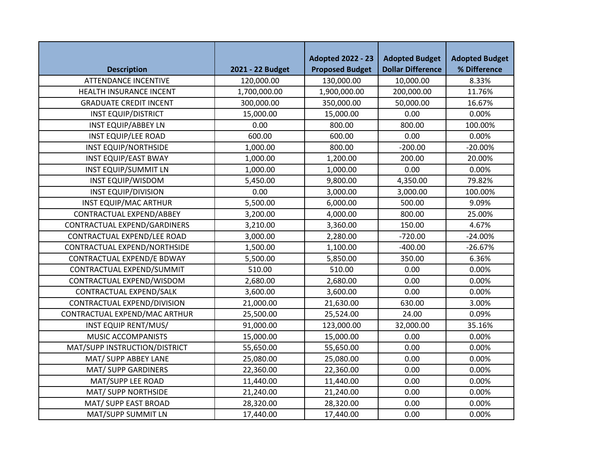|                               |                  | <b>Adopted 2022 - 23</b> | <b>Adopted Budget</b>    | <b>Adopted Budget</b> |
|-------------------------------|------------------|--------------------------|--------------------------|-----------------------|
| <b>Description</b>            | 2021 - 22 Budget | <b>Proposed Budget</b>   | <b>Dollar Difference</b> | % Difference          |
| <b>ATTENDANCE INCENTIVE</b>   | 120,000.00       | 130,000.00               | 10,000.00                | 8.33%                 |
| HEALTH INSURANCE INCENT       | 1,700,000.00     | 1,900,000.00             | 200,000.00               | 11.76%                |
| <b>GRADUATE CREDIT INCENT</b> | 300,000.00       | 350,000.00               | 50,000.00                | 16.67%                |
| <b>INST EQUIP/DISTRICT</b>    | 15,000.00        | 15,000.00                | 0.00                     | 0.00%                 |
| <b>INST EQUIP/ABBEY LN</b>    | 0.00             | 800.00                   | 800.00                   | 100.00%               |
| <b>INST EQUIP/LEE ROAD</b>    | 600.00           | 600.00                   | 0.00                     | 0.00%                 |
| <b>INST EQUIP/NORTHSIDE</b>   | 1,000.00         | 800.00                   | $-200.00$                | $-20.00%$             |
| <b>INST EQUIP/EAST BWAY</b>   | 1,000.00         | 1,200.00                 | 200.00                   | 20.00%                |
| <b>INST EQUIP/SUMMIT LN</b>   | 1,000.00         | 1,000.00                 | 0.00                     | 0.00%                 |
| <b>INST EQUIP/WISDOM</b>      | 5,450.00         | 9,800.00                 | 4,350.00                 | 79.82%                |
| <b>INST EQUIP/DIVISION</b>    | 0.00             | 3,000.00                 | 3,000.00                 | 100.00%               |
| <b>INST EQUIP/MAC ARTHUR</b>  | 5,500.00         | 6,000.00                 | 500.00                   | 9.09%                 |
| CONTRACTUAL EXPEND/ABBEY      | 3,200.00         | 4,000.00                 | 800.00                   | 25.00%                |
| CONTRACTUAL EXPEND/GARDINERS  | 3,210.00         | 3,360.00                 | 150.00                   | 4.67%                 |
| CONTRACTUAL EXPEND/LEE ROAD   | 3,000.00         | 2,280.00                 | $-720.00$                | $-24.00%$             |
| CONTRACTUAL EXPEND/NORTHSIDE  | 1,500.00         | 1,100.00                 | $-400.00$                | $-26.67%$             |
| CONTRACTUAL EXPEND/E BDWAY    | 5,500.00         | 5,850.00                 | 350.00                   | 6.36%                 |
| CONTRACTUAL EXPEND/SUMMIT     | 510.00           | 510.00                   | 0.00                     | 0.00%                 |
| CONTRACTUAL EXPEND/WISDOM     | 2,680.00         | 2,680.00                 | 0.00                     | 0.00%                 |
| CONTRACTUAL EXPEND/SALK       | 3,600.00         | 3,600.00                 | 0.00                     | 0.00%                 |
| CONTRACTUAL EXPEND/DIVISION   | 21,000.00        | 21,630.00                | 630.00                   | 3.00%                 |
| CONTRACTUAL EXPEND/MAC ARTHUR | 25,500.00        | 25,524.00                | 24.00                    | 0.09%                 |
| INST EQUIP RENT/MUS/          | 91,000.00        | 123,000.00               | 32,000.00                | 35.16%                |
| <b>MUSIC ACCOMPANISTS</b>     | 15,000.00        | 15,000.00                | 0.00                     | 0.00%                 |
| MAT/SUPP INSTRUCTION/DISTRICT | 55,650.00        | 55,650.00                | 0.00                     | 0.00%                 |
| MAT/ SUPP ABBEY LANE          | 25,080.00        | 25,080.00                | 0.00                     | 0.00%                 |
| <b>MAT/ SUPP GARDINERS</b>    | 22,360.00        | 22,360.00                | 0.00                     | 0.00%                 |
| MAT/SUPP LEE ROAD             | 11,440.00        | 11,440.00                | 0.00                     | 0.00%                 |
| MAT/ SUPP NORTHSIDE           | 21,240.00        | 21,240.00                | 0.00                     | 0.00%                 |
| MAT/ SUPP EAST BROAD          | 28,320.00        | 28,320.00                | 0.00                     | 0.00%                 |
| MAT/SUPP SUMMIT LN            | 17,440.00        | 17,440.00                | 0.00                     | 0.00%                 |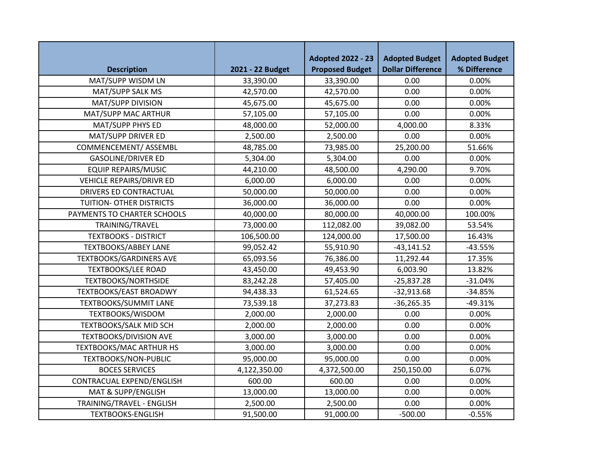|                                 |                  | <b>Adopted 2022 - 23</b> | <b>Adopted Budget</b>    | <b>Adopted Budget</b> |
|---------------------------------|------------------|--------------------------|--------------------------|-----------------------|
| <b>Description</b>              | 2021 - 22 Budget | <b>Proposed Budget</b>   | <b>Dollar Difference</b> | % Difference          |
| MAT/SUPP WISDM LN               | 33,390.00        | 33,390.00                | 0.00                     | 0.00%                 |
| MAT/SUPP SALK MS                | 42,570.00        | 42,570.00                | 0.00                     | 0.00%                 |
| MAT/SUPP DIVISION               | 45,675.00        | 45,675.00                | 0.00                     | 0.00%                 |
| MAT/SUPP MAC ARTHUR             | 57,105.00        | 57,105.00                | 0.00                     | 0.00%                 |
| MAT/SUPP PHYS ED                | 48,000.00        | 52,000.00                | 4,000.00                 | 8.33%                 |
| MAT/SUPP DRIVER ED              | 2,500.00         | 2,500.00                 | 0.00                     | 0.00%                 |
| COMMENCEMENT/ ASSEMBL           | 48,785.00        | 73,985.00                | 25,200.00                | 51.66%                |
| <b>GASOLINE/DRIVER ED</b>       | 5,304.00         | 5,304.00                 | 0.00                     | 0.00%                 |
| <b>EQUIP REPAIRS/MUSIC</b>      | 44,210.00        | 48,500.00                | 4,290.00                 | 9.70%                 |
| <b>VEHICLE REPAIRS/DRIVR ED</b> | 6,000.00         | 6,000.00                 | 0.00                     | 0.00%                 |
| DRIVERS ED CONTRACTUAL          | 50,000.00        | 50,000.00                | 0.00                     | 0.00%                 |
| TUITION- OTHER DISTRICTS        | 36,000.00        | 36,000.00                | 0.00                     | 0.00%                 |
| PAYMENTS TO CHARTER SCHOOLS     | 40,000.00        | 80,000.00                | 40,000.00                | 100.00%               |
| TRAINING/TRAVEL                 | 73,000.00        | 112,082.00               | 39,082.00                | 53.54%                |
| <b>TEXTBOOKS - DISTRICT</b>     | 106,500.00       | 124,000.00               | 17,500.00                | 16.43%                |
| <b>TEXTBOOKS/ABBEY LANE</b>     | 99,052.42        | 55,910.90                | $-43,141.52$             | $-43.55%$             |
| <b>TEXTBOOKS/GARDINERS AVE</b>  | 65,093.56        | 76,386.00                | 11,292.44                | 17.35%                |
| <b>TEXTBOOKS/LEE ROAD</b>       | 43,450.00        | 49,453.90                | 6,003.90                 | 13.82%                |
| <b>TEXTBOOKS/NORTHSIDE</b>      | 83,242.28        | 57,405.00                | $-25,837.28$             | $-31.04%$             |
| <b>TEXTBOOKS/EAST BROADWY</b>   | 94,438.33        | 61,524.65                | $-32,913.68$             | $-34.85%$             |
| <b>TEXTBOOKS/SUMMIT LANE</b>    | 73,539.18        | 37,273.83                | $-36,265.35$             | $-49.31%$             |
| TEXTBOOKS/WISDOM                | 2,000.00         | 2,000.00                 | 0.00                     | 0.00%                 |
| TEXTBOOKS/SALK MID SCH          | 2,000.00         | 2,000.00                 | 0.00                     | 0.00%                 |
| <b>TEXTBOOKS/DIVISION AVE</b>   | 3,000.00         | 3,000.00                 | 0.00                     | 0.00%                 |
| <b>TEXTBOOKS/MAC ARTHUR HS</b>  | 3,000.00         | 3,000.00                 | 0.00                     | 0.00%                 |
| <b>TEXTBOOKS/NON-PUBLIC</b>     | 95,000.00        | 95,000.00                | 0.00                     | 0.00%                 |
| <b>BOCES SERVICES</b>           | 4,122,350.00     | 4,372,500.00             | 250,150.00               | 6.07%                 |
| CONTRACUAL EXPEND/ENGLISH       | 600.00           | 600.00                   | 0.00                     | 0.00%                 |
| MAT & SUPP/ENGLISH              | 13,000.00        | 13,000.00                | 0.00                     | 0.00%                 |
| TRAINING/TRAVEL - ENGLISH       | 2,500.00         | 2,500.00                 | 0.00                     | 0.00%                 |
| <b>TEXTBOOKS-ENGLISH</b>        | 91,500.00        | 91,000.00                | $-500.00$                | $-0.55%$              |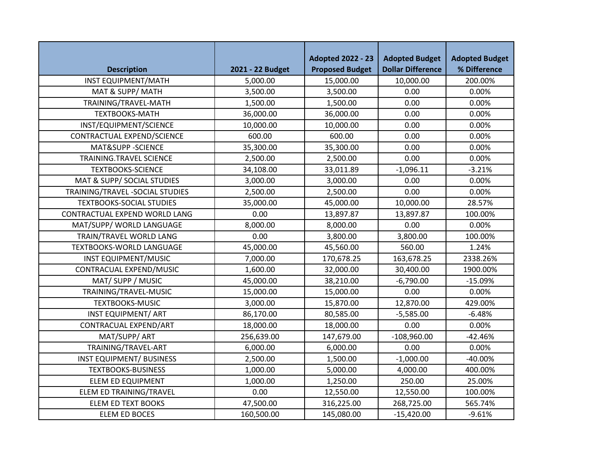| <b>Description</b>              | 2021 - 22 Budget | <b>Adopted 2022 - 23</b><br><b>Proposed Budget</b> | <b>Adopted Budget</b><br><b>Dollar Difference</b> | <b>Adopted Budget</b><br>% Difference |
|---------------------------------|------------------|----------------------------------------------------|---------------------------------------------------|---------------------------------------|
| <b>INST EQUIPMENT/MATH</b>      | 5,000.00         | 15,000.00                                          | 10,000.00                                         | 200.00%                               |
| MAT & SUPP/MATH                 | 3,500.00         | 3,500.00                                           | 0.00                                              | 0.00%                                 |
| TRAINING/TRAVEL-MATH            | 1,500.00         | 1,500.00                                           | 0.00                                              | 0.00%                                 |
| <b>TEXTBOOKS-MATH</b>           | 36,000.00        | 36,000.00                                          | 0.00                                              | 0.00%                                 |
| INST/EQUIPMENT/SCIENCE          | 10,000.00        | 10,000.00                                          | 0.00                                              | 0.00%                                 |
| CONTRACTUAL EXPEND/SCIENCE      | 600.00           | 600.00                                             | 0.00                                              | 0.00%                                 |
| MAT&SUPP -SCIENCE               | 35,300.00        | 35,300.00                                          | 0.00                                              | 0.00%                                 |
| TRAINING.TRAVEL SCIENCE         | 2,500.00         | 2,500.00                                           | 0.00                                              | 0.00%                                 |
| <b>TEXTBOOKS-SCIENCE</b>        | 34,108.00        | 33,011.89                                          | $-1,096.11$                                       | $-3.21%$                              |
| MAT & SUPP/ SOCIAL STUDIES      | 3,000.00         | 3,000.00                                           | 0.00                                              | 0.00%                                 |
| TRAINING/TRAVEL-SOCIAL STUDIES  | 2,500.00         | 2,500.00                                           | 0.00                                              | 0.00%                                 |
| <b>TEXTBOOKS-SOCIAL STUDIES</b> | 35,000.00        | 45,000.00                                          | 10,000.00                                         | 28.57%                                |
| CONTRACTUAL EXPEND WORLD LANG   | 0.00             | 13,897.87                                          | 13,897.87                                         | 100.00%                               |
| MAT/SUPP/ WORLD LANGUAGE        | 8,000.00         | 8,000.00                                           | 0.00                                              | 0.00%                                 |
| TRAIN/TRAVEL WORLD LANG         | 0.00             | 3,800.00                                           | 3,800.00                                          | 100.00%                               |
| <b>TEXTBOOKS-WORLD LANGUAGE</b> | 45,000.00        | 45,560.00                                          | 560.00                                            | 1.24%                                 |
| <b>INST EQUIPMENT/MUSIC</b>     | 7,000.00         | 170,678.25                                         | 163,678.25                                        | 2338.26%                              |
| CONTRACUAL EXPEND/MUSIC         | 1,600.00         | 32,000.00                                          | 30,400.00                                         | 1900.00%                              |
| MAT/ SUPP / MUSIC               | 45,000.00        | 38,210.00                                          | $-6,790.00$                                       | $-15.09%$                             |
| TRAINING/TRAVEL-MUSIC           | 15,000.00        | 15,000.00                                          | 0.00                                              | 0.00%                                 |
| <b>TEXTBOOKS-MUSIC</b>          | 3,000.00         | 15,870.00                                          | 12,870.00                                         | 429.00%                               |
| <b>INST EQUIPMENT/ ART</b>      | 86,170.00        | 80,585.00                                          | $-5,585.00$                                       | $-6.48%$                              |
| CONTRACUAL EXPEND/ART           | 18,000.00        | 18,000.00                                          | 0.00                                              | 0.00%                                 |
| MAT/SUPP/ ART                   | 256,639.00       | 147,679.00                                         | $-108,960.00$                                     | $-42.46%$                             |
| TRAINING/TRAVEL-ART             | 6,000.00         | 6,000.00                                           | 0.00                                              | 0.00%                                 |
| <b>INST EQUIPMENT/ BUSINESS</b> | 2,500.00         | 1,500.00                                           | $-1,000.00$                                       | -40.00%                               |
| <b>TEXTBOOKS-BUSINESS</b>       | 1,000.00         | 5,000.00                                           | 4,000.00                                          | 400.00%                               |
| <b>ELEM ED EQUIPMENT</b>        | 1,000.00         | 1,250.00                                           | 250.00                                            | 25.00%                                |
| ELEM ED TRAINING/TRAVEL         | 0.00             | 12,550.00                                          | 12,550.00                                         | 100.00%                               |
| <b>ELEM ED TEXT BOOKS</b>       | 47,500.00        | 316,225.00                                         | 268,725.00                                        | 565.74%                               |
| ELEM ED BOCES                   | 160,500.00       | 145,080.00                                         | $-15,420.00$                                      | $-9.61%$                              |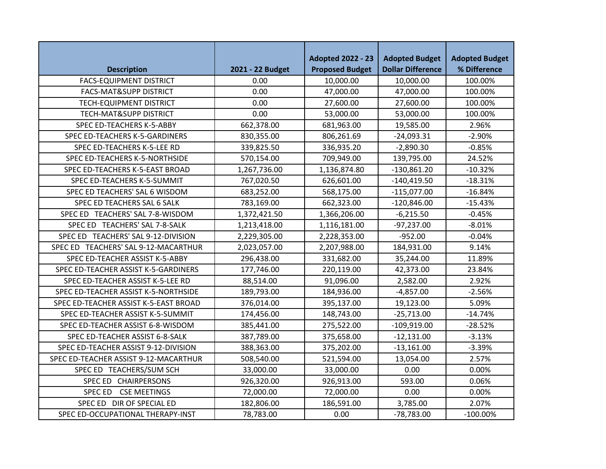| <b>Description</b>                    | 2021 - 22 Budget | <b>Adopted 2022 - 23</b><br><b>Proposed Budget</b> | <b>Adopted Budget</b><br><b>Dollar Difference</b> | <b>Adopted Budget</b><br>% Difference |
|---------------------------------------|------------------|----------------------------------------------------|---------------------------------------------------|---------------------------------------|
| <b>FACS-EQUIPMENT DISTRICT</b>        | 0.00             | 10,000.00                                          | 10,000.00                                         | 100.00%                               |
| <b>FACS-MAT&amp;SUPP DISTRICT</b>     | 0.00             | 47,000.00                                          | 47,000.00                                         | 100.00%                               |
| <b>TECH-EQUIPMENT DISTRICT</b>        | 0.00             | 27,600.00                                          | 27,600.00                                         | 100.00%                               |
| TECH-MAT&SUPP DISTRICT                | 0.00             | 53,000.00                                          | 53,000.00                                         | 100.00%                               |
| SPEC ED-TEACHERS K-5-ABBY             | 662,378.00       | 681,963.00                                         | 19,585.00                                         | 2.96%                                 |
| SPEC ED-TEACHERS K-5-GARDINERS        | 830,355.00       | 806,261.69                                         | $-24,093.31$                                      | $-2.90%$                              |
| SPEC ED-TEACHERS K-5-LEE RD           | 339,825.50       | 336,935.20                                         | $-2,890.30$                                       | $-0.85%$                              |
| SPEC ED-TEACHERS K-5-NORTHSIDE        | 570,154.00       | 709,949.00                                         | 139,795.00                                        | 24.52%                                |
| SPEC ED-TEACHERS K-5-EAST BROAD       | 1,267,736.00     | 1,136,874.80                                       | $-130,861.20$                                     | $-10.32%$                             |
| SPEC ED-TEACHERS K-5-SUMMIT           | 767,020.50       | 626,601.00                                         | $-140,419.50$                                     | $-18.31%$                             |
| SPEC ED TEACHERS' SAL 6 WISDOM        | 683,252.00       | 568,175.00                                         | $-115,077.00$                                     | $-16.84%$                             |
| SPEC ED TEACHERS SAL 6 SALK           | 783,169.00       | 662,323.00                                         | $-120,846.00$                                     | $-15.43%$                             |
| SPEC ED TEACHERS' SAL 7-8-WISDOM      | 1,372,421.50     | 1,366,206.00                                       | $-6,215.50$                                       | $-0.45%$                              |
| SPEC ED TEACHERS' SAL 7-8-SALK        | 1,213,418.00     | 1,116,181.00                                       | $-97,237.00$                                      | $-8.01%$                              |
| SPEC ED TEACHERS' SAL 9-12-DIVISION   | 2,229,305.00     | 2,228,353.00                                       | $-952.00$                                         | $-0.04%$                              |
| SPEC ED TEACHERS' SAL 9-12-MACARTHUR  | 2,023,057.00     | 2,207,988.00                                       | 184,931.00                                        | 9.14%                                 |
| SPEC ED-TEACHER ASSIST K-5-ABBY       | 296,438.00       | 331,682.00                                         | 35,244.00                                         | 11.89%                                |
| SPEC ED-TEACHER ASSIST K-5-GARDINERS  | 177,746.00       | 220,119.00                                         | 42,373.00                                         | 23.84%                                |
| SPEC ED-TEACHER ASSIST K-5-LEE RD     | 88,514.00        | 91,096.00                                          | 2,582.00                                          | 2.92%                                 |
| SPEC ED-TEACHER ASSIST K-5-NORTHSIDE  | 189,793.00       | 184,936.00                                         | $-4,857.00$                                       | $-2.56%$                              |
| SPEC ED-TEACHER ASSIST K-5-EAST BROAD | 376,014.00       | 395,137.00                                         | 19,123.00                                         | 5.09%                                 |
| SPEC ED-TEACHER ASSIST K-5-SUMMIT     | 174,456.00       | 148,743.00                                         | $-25,713.00$                                      | $-14.74%$                             |
| SPEC ED-TEACHER ASSIST 6-8-WISDOM     | 385,441.00       | 275,522.00                                         | $-109,919.00$                                     | $-28.52%$                             |
| SPEC ED-TEACHER ASSIST 6-8-SALK       | 387,789.00       | 375,658.00                                         | $-12,131.00$                                      | $-3.13%$                              |
| SPEC ED-TEACHER ASSIST 9-12-DIVISION  | 388,363.00       | 375,202.00                                         | $-13,161.00$                                      | $-3.39%$                              |
| SPEC ED-TEACHER ASSIST 9-12-MACARTHUR | 508,540.00       | 521,594.00                                         | 13,054.00                                         | 2.57%                                 |
| SPEC ED TEACHERS/SUM SCH              | 33,000.00        | 33,000.00                                          | 0.00                                              | 0.00%                                 |
| SPEC ED CHAIRPERSONS                  | 926,320.00       | 926,913.00                                         | 593.00                                            | 0.06%                                 |
| SPEC ED CSE MEETINGS                  | 72,000.00        | 72,000.00                                          | 0.00                                              | 0.00%                                 |
| SPEC ED DIR OF SPECIAL ED             | 182,806.00       | 186,591.00                                         | 3,785.00                                          | 2.07%                                 |
| SPEC ED-OCCUPATIONAL THERAPY-INST     | 78,783.00        | 0.00                                               | $-78,783.00$                                      | $-100.00\%$                           |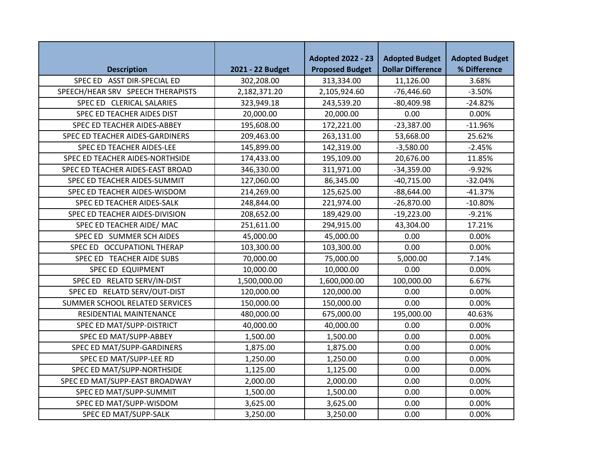|                                   |                  | <b>Adopted 2022 - 23</b> | <b>Adopted Budget</b>    | <b>Adopted Budget</b> |
|-----------------------------------|------------------|--------------------------|--------------------------|-----------------------|
| <b>Description</b>                | 2021 - 22 Budget | <b>Proposed Budget</b>   | <b>Dollar Difference</b> | % Difference          |
| SPEC ED ASST DIR-SPECIAL ED       | 302,208.00       | 313,334.00               | 11,126.00                | 3.68%                 |
| SPEECH/HEAR SRV SPEECH THERAPISTS | 2,182,371.20     | 2,105,924.60             | $-76,446.60$             | $-3.50%$              |
| SPEC ED CLERICAL SALARIES         | 323,949.18       | 243,539.20               | $-80,409.98$             | $-24.82%$             |
| SPEC ED TEACHER AIDES DIST        | 20,000.00        | 20,000.00                | 0.00                     | 0.00%                 |
| SPEC ED TEACHER AIDES-ABBEY       | 195,608.00       | 172,221.00               | $-23,387.00$             | $-11.96%$             |
| SPEC ED TEACHER AIDES-GARDINERS   | 209,463.00       | 263,131.00               | 53,668.00                | 25.62%                |
| SPEC ED TEACHER AIDES-LEE         | 145,899.00       | 142,319.00               | $-3,580.00$              | $-2.45%$              |
| SPEC ED TEACHER AIDES-NORTHSIDE   | 174,433.00       | 195,109.00               | 20,676.00                | 11.85%                |
| SPEC ED TEACHER AIDES-EAST BROAD  | 346,330.00       | 311,971.00               | $-34,359.00$             | $-9.92%$              |
| SPEC ED TEACHER AIDES-SUMMIT      | 127,060.00       | 86,345.00                | $-40,715.00$             | $-32.04%$             |
| SPEC ED TEACHER AIDES-WISDOM      | 214,269.00       | 125,625.00               | $-88,644.00$             | $-41.37%$             |
| SPEC ED TEACHER AIDES-SALK        | 248,844.00       | 221,974.00               | $-26,870.00$             | $-10.80%$             |
| SPEC ED TEACHER AIDES-DIVISION    | 208,652.00       | 189,429.00               | $-19,223.00$             | $-9.21%$              |
| SPEC ED TEACHER AIDE/ MAC         | 251,611.00       | 294,915.00               | 43,304.00                | 17.21%                |
| SPEC ED SUMMER SCH AIDES          | 45,000.00        | 45,000.00                | 0.00                     | 0.00%                 |
| SPEC ED OCCUPATIONL THERAP        | 103,300.00       | 103,300.00               | 0.00                     | 0.00%                 |
| SPEC ED TEACHER AIDE SUBS         | 70,000.00        | 75,000.00                | 5,000.00                 | 7.14%                 |
| SPEC ED EQUIPMENT                 | 10,000.00        | 10,000.00                | 0.00                     | 0.00%                 |
| SPEC ED RELATD SERV/IN-DIST       | 1,500,000.00     | 1,600,000.00             | 100,000.00               | 6.67%                 |
| SPEC ED RELATD SERV/OUT-DIST      | 120,000.00       | 120,000.00               | 0.00                     | 0.00%                 |
| SUMMER SCHOOL RELATED SERVICES    | 150,000.00       | 150,000.00               | 0.00                     | 0.00%                 |
| RESIDENTIAL MAINTENANCE           | 480,000.00       | 675,000.00               | 195,000.00               | 40.63%                |
| SPEC ED MAT/SUPP-DISTRICT         | 40,000.00        | 40,000.00                | 0.00                     | 0.00%                 |
| SPEC ED MAT/SUPP-ABBEY            | 1,500.00         | 1,500.00                 | 0.00                     | 0.00%                 |
| SPEC ED MAT/SUPP-GARDINERS        | 1,875.00         | 1,875.00                 | 0.00                     | 0.00%                 |
| SPEC ED MAT/SUPP-LEE RD           | 1,250.00         | 1,250.00                 | 0.00                     | 0.00%                 |
| SPEC ED MAT/SUPP-NORTHSIDE        | 1,125.00         | 1,125.00                 | 0.00                     | 0.00%                 |
| SPEC ED MAT/SUPP-EAST BROADWAY    | 2,000.00         | 2,000.00                 | 0.00                     | 0.00%                 |
| SPEC ED MAT/SUPP-SUMMIT           | 1,500.00         | 1,500.00                 | 0.00                     | 0.00%                 |
| SPEC ED MAT/SUPP-WISDOM           | 3,625.00         | 3,625.00                 | 0.00                     | 0.00%                 |
| SPEC ED MAT/SUPP-SALK             | 3,250.00         | 3,250.00                 | 0.00                     | 0.00%                 |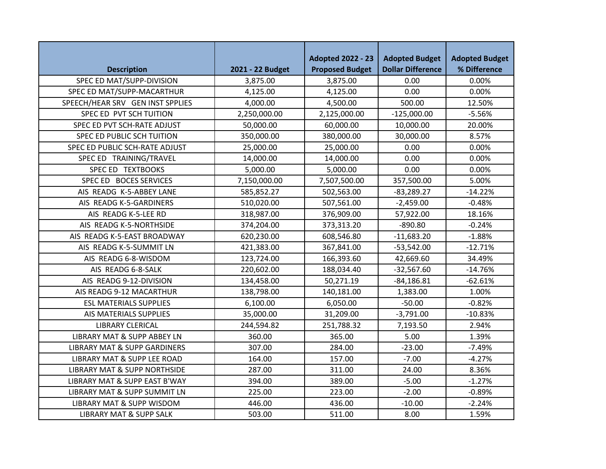|                                         |                  | <b>Adopted 2022 - 23</b> | <b>Adopted Budget</b>    | <b>Adopted Budget</b> |
|-----------------------------------------|------------------|--------------------------|--------------------------|-----------------------|
| <b>Description</b>                      | 2021 - 22 Budget | <b>Proposed Budget</b>   | <b>Dollar Difference</b> | % Difference          |
| SPEC ED MAT/SUPP-DIVISION               | 3,875.00         | 3,875.00                 | 0.00                     | 0.00%                 |
| SPEC ED MAT/SUPP-MACARTHUR              | 4,125.00         | 4,125.00                 | 0.00                     | 0.00%                 |
| SPEECH/HEAR SRV GEN INST SPPLIES        | 4,000.00         | 4,500.00                 | 500.00                   | 12.50%                |
| SPEC ED PVT SCH TUITION                 | 2,250,000.00     | 2,125,000.00             | $-125,000.00$            | $-5.56%$              |
| SPEC ED PVT SCH-RATE ADJUST             | 50,000.00        | 60,000.00                | 10,000.00                | 20.00%                |
| SPEC ED PUBLIC SCH TUITION              | 350,000.00       | 380,000.00               | 30,000.00                | 8.57%                 |
| SPEC ED PUBLIC SCH-RATE ADJUST          | 25,000.00        | 25,000.00                | 0.00                     | 0.00%                 |
| SPEC ED TRAINING/TRAVEL                 | 14,000.00        | 14,000.00                | 0.00                     | 0.00%                 |
| SPEC ED TEXTBOOKS                       | 5,000.00         | 5,000.00                 | 0.00                     | 0.00%                 |
| SPEC ED BOCES SERVICES                  | 7,150,000.00     | 7,507,500.00             | 357,500.00               | 5.00%                 |
| AIS READG K-5-ABBEY LANE                | 585,852.27       | 502,563.00               | $-83,289.27$             | $-14.22%$             |
| AIS READG K-5-GARDINERS                 | 510,020.00       | 507,561.00               | $-2,459.00$              | $-0.48%$              |
| AIS READG K-5-LEE RD                    | 318,987.00       | 376,909.00               | 57,922.00                | 18.16%                |
| AIS READG K-5-NORTHSIDE                 | 374,204.00       | 373,313.20               | $-890.80$                | $-0.24%$              |
| AIS READG K-5-EAST BROADWAY             | 620,230.00       | 608,546.80               | $-11,683.20$             | $-1.88%$              |
| AIS READG K-5-SUMMIT LN                 | 421,383.00       | 367,841.00               | $-53,542.00$             | $-12.71%$             |
| AIS READG 6-8-WISDOM                    | 123,724.00       | 166,393.60               | 42,669.60                | 34.49%                |
| AIS READG 6-8-SALK                      | 220,602.00       | 188,034.40               | $-32,567.60$             | $-14.76%$             |
| AIS READG 9-12-DIVISION                 | 134,458.00       | 50,271.19                | $-84,186.81$             | $-62.61%$             |
| AIS READG 9-12 MACARTHUR                | 138,798.00       | 140,181.00               | 1,383.00                 | 1.00%                 |
| <b>ESL MATERIALS SUPPLIES</b>           | 6,100.00         | 6,050.00                 | $-50.00$                 | $-0.82%$              |
| AIS MATERIALS SUPPLIES                  | 35,000.00        | 31,209.00                | $-3,791.00$              | $-10.83%$             |
| <b>LIBRARY CLERICAL</b>                 | 244,594.82       | 251,788.32               | 7,193.50                 | 2.94%                 |
| LIBRARY MAT & SUPP ABBEY LN             | 360.00           | 365.00                   | 5.00                     | 1.39%                 |
| <b>LIBRARY MAT &amp; SUPP GARDINERS</b> | 307.00           | 284.00                   | $-23.00$                 | $-7.49%$              |
| LIBRARY MAT & SUPP LEE ROAD             | 164.00           | 157.00                   | $-7.00$                  | $-4.27%$              |
| LIBRARY MAT & SUPP NORTHSIDE            | 287.00           | 311.00                   | 24.00                    | 8.36%                 |
| LIBRARY MAT & SUPP EAST B'WAY           | 394.00           | 389.00                   | $-5.00$                  | $-1.27%$              |
| LIBRARY MAT & SUPP SUMMIT LN            | 225.00           | 223.00                   | $-2.00$                  | $-0.89%$              |
| LIBRARY MAT & SUPP WISDOM               | 446.00           | 436.00                   | $-10.00$                 | $-2.24%$              |
| <b>LIBRARY MAT &amp; SUPP SALK</b>      | 503.00           | 511.00                   | 8.00                     | 1.59%                 |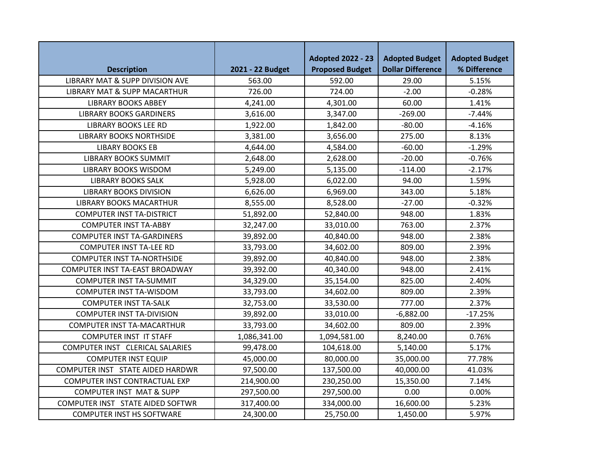|                                         |                  | <b>Adopted 2022 - 23</b> | <b>Adopted Budget</b>    | <b>Adopted Budget</b> |
|-----------------------------------------|------------------|--------------------------|--------------------------|-----------------------|
| <b>Description</b>                      | 2021 - 22 Budget | <b>Proposed Budget</b>   | <b>Dollar Difference</b> | % Difference          |
| LIBRARY MAT & SUPP DIVISION AVE         | 563.00           | 592.00                   | 29.00                    | 5.15%                 |
| <b>LIBRARY MAT &amp; SUPP MACARTHUR</b> | 726.00           | 724.00                   | $-2.00$                  | $-0.28%$              |
| <b>LIBRARY BOOKS ABBEY</b>              | 4,241.00         | 4,301.00                 | 60.00                    | 1.41%                 |
| <b>LIBRARY BOOKS GARDINERS</b>          | 3,616.00         | 3,347.00                 | $-269.00$                | $-7.44%$              |
| <b>LIBRARY BOOKS LEE RD</b>             | 1,922.00         | 1,842.00                 | $-80.00$                 | $-4.16%$              |
| <b>LIBRARY BOOKS NORTHSIDE</b>          | 3,381.00         | 3,656.00                 | 275.00                   | 8.13%                 |
| <b>LIBARY BOOKS EB</b>                  | 4,644.00         | 4,584.00                 | $-60.00$                 | $-1.29%$              |
| <b>LIBRARY BOOKS SUMMIT</b>             | 2,648.00         | 2,628.00                 | $-20.00$                 | $-0.76%$              |
| <b>LIBRARY BOOKS WISDOM</b>             | 5,249.00         | 5,135.00                 | $-114.00$                | $-2.17%$              |
| <b>LIBRARY BOOKS SALK</b>               | 5,928.00         | 6,022.00                 | 94.00                    | 1.59%                 |
| <b>LIBRARY BOOKS DIVISION</b>           | 6,626.00         | 6,969.00                 | 343.00                   | 5.18%                 |
| <b>LIBRARY BOOKS MACARTHUR</b>          | 8,555.00         | 8,528.00                 | $-27.00$                 | $-0.32%$              |
| <b>COMPUTER INST TA-DISTRICT</b>        | 51,892.00        | 52,840.00                | 948.00                   | 1.83%                 |
| <b>COMPUTER INST TA-ABBY</b>            | 32,247.00        | 33,010.00                | 763.00                   | 2.37%                 |
| <b>COMPUTER INST TA-GARDINERS</b>       | 39,892.00        | 40,840.00                | 948.00                   | 2.38%                 |
| <b>COMPUTER INST TA-LEE RD</b>          | 33,793.00        | 34,602.00                | 809.00                   | 2.39%                 |
| <b>COMPUTER INST TA-NORTHSIDE</b>       | 39,892.00        | 40,840.00                | 948.00                   | 2.38%                 |
| COMPUTER INST TA-EAST BROADWAY          | 39,392.00        | 40,340.00                | 948.00                   | 2.41%                 |
| <b>COMPUTER INST TA-SUMMIT</b>          | 34,329.00        | 35,154.00                | 825.00                   | 2.40%                 |
| <b>COMPUTER INST TA-WISDOM</b>          | 33,793.00        | 34,602.00                | 809.00                   | 2.39%                 |
| <b>COMPUTER INST TA-SALK</b>            | 32,753.00        | 33,530.00                | 777.00                   | 2.37%                 |
| <b>COMPUTER INST TA-DIVISION</b>        | 39,892.00        | 33,010.00                | $-6,882.00$              | $-17.25%$             |
| <b>COMPUTER INST TA-MACARTHUR</b>       | 33,793.00        | 34,602.00                | 809.00                   | 2.39%                 |
| <b>COMPUTER INST IT STAFF</b>           | 1,086,341.00     | 1,094,581.00             | 8,240.00                 | 0.76%                 |
| COMPUTER INST CLERICAL SALARIES         | 99,478.00        | 104,618.00               | 5,140.00                 | 5.17%                 |
| <b>COMPUTER INST EQUIP</b>              | 45,000.00        | 80,000.00                | 35,000.00                | 77.78%                |
| COMPUTER INST STATE AIDED HARDWR        | 97,500.00        | 137,500.00               | 40,000.00                | 41.03%                |
| COMPUTER INST CONTRACTUAL EXP           | 214,900.00       | 230,250.00               | 15,350.00                | 7.14%                 |
| <b>COMPUTER INST MAT &amp; SUPP</b>     | 297,500.00       | 297,500.00               | 0.00                     | 0.00%                 |
| COMPUTER INST STATE AIDED SOFTWR        | 317,400.00       | 334,000.00               | 16,600.00                | 5.23%                 |
| <b>COMPUTER INST HS SOFTWARE</b>        | 24,300.00        | 25,750.00                | 1,450.00                 | 5.97%                 |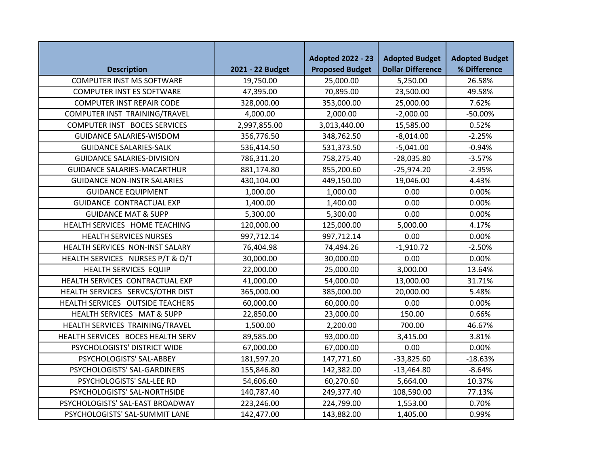|                                     |                  | <b>Adopted 2022 - 23</b> | <b>Adopted Budget</b>    | <b>Adopted Budget</b> |
|-------------------------------------|------------------|--------------------------|--------------------------|-----------------------|
| <b>Description</b>                  | 2021 - 22 Budget | <b>Proposed Budget</b>   | <b>Dollar Difference</b> | % Difference          |
| <b>COMPUTER INST MS SOFTWARE</b>    | 19,750.00        | 25,000.00                | 5,250.00                 | 26.58%                |
| <b>COMPUTER INST ES SOFTWARE</b>    | 47,395.00        | 70,895.00                | 23,500.00                | 49.58%                |
| <b>COMPUTER INST REPAIR CODE</b>    | 328,000.00       | 353,000.00               | 25,000.00                | 7.62%                 |
| COMPUTER INST TRAINING/TRAVEL       | 4,000.00         | 2,000.00                 | $-2,000.00$              | $-50.00%$             |
| <b>COMPUTER INST BOCES SERVICES</b> | 2,997,855.00     | 3,013,440.00             | 15,585.00                | 0.52%                 |
| <b>GUIDANCE SALARIES-WISDOM</b>     | 356,776.50       | 348,762.50               | $-8,014.00$              | $-2.25%$              |
| <b>GUIDANCE SALARIES-SALK</b>       | 536,414.50       | 531,373.50               | $-5,041.00$              | $-0.94%$              |
| <b>GUIDANCE SALARIES-DIVISION</b>   | 786,311.20       | 758,275.40               | $-28,035.80$             | $-3.57%$              |
| <b>GUIDANCE SALARIES-MACARTHUR</b>  | 881,174.80       | 855,200.60               | $-25,974.20$             | $-2.95%$              |
| <b>GUIDANCE NON-INSTR SALARIES</b>  | 430,104.00       | 449,150.00               | 19,046.00                | 4.43%                 |
| <b>GUIDANCE EQUIPMENT</b>           | 1,000.00         | 1,000.00                 | 0.00                     | 0.00%                 |
| <b>GUIDANCE CONTRACTUAL EXP</b>     | 1,400.00         | 1,400.00                 | 0.00                     | 0.00%                 |
| <b>GUIDANCE MAT &amp; SUPP</b>      | 5,300.00         | 5,300.00                 | 0.00                     | 0.00%                 |
| HEALTH SERVICES HOME TEACHING       | 120,000.00       | 125,000.00               | 5,000.00                 | 4.17%                 |
| <b>HEALTH SERVICES NURSES</b>       | 997,712.14       | 997,712.14               | 0.00                     | 0.00%                 |
| HEALTH SERVICES NON-INST SALARY     | 76,404.98        | 74,494.26                | $-1,910.72$              | $-2.50%$              |
| HEALTH SERVICES NURSES P/T & O/T    | 30,000.00        | 30,000.00                | 0.00                     | 0.00%                 |
| HEALTH SERVICES EQUIP               | 22,000.00        | 25,000.00                | 3,000.00                 | 13.64%                |
| HEALTH SERVICES CONTRACTUAL EXP     | 41,000.00        | 54,000.00                | 13,000.00                | 31.71%                |
| HEALTH SERVICES SERVCS/OTHR DIST    | 365,000.00       | 385,000.00               | 20,000.00                | 5.48%                 |
| HEALTH SERVICES OUTSIDE TEACHERS    | 60,000.00        | 60,000.00                | 0.00                     | 0.00%                 |
| HEALTH SERVICES MAT & SUPP          | 22,850.00        | 23,000.00                | 150.00                   | 0.66%                 |
| HEALTH SERVICES TRAINING/TRAVEL     | 1,500.00         | 2,200.00                 | 700.00                   | 46.67%                |
| HEALTH SERVICES BOCES HEALTH SERV   | 89,585.00        | 93,000.00                | 3,415.00                 | 3.81%                 |
| PSYCHOLOGISTS' DISTRICT WIDE        | 67,000.00        | 67,000.00                | 0.00                     | 0.00%                 |
| PSYCHOLOGISTS' SAL-ABBEY            | 181,597.20       | 147,771.60               | $-33,825.60$             | $-18.63%$             |
| PSYCHOLOGISTS' SAL-GARDINERS        | 155,846.80       | 142,382.00               | $-13,464.80$             | $-8.64%$              |
| PSYCHOLOGISTS' SAL-LEE RD           | 54,606.60        | 60,270.60                | 5,664.00                 | 10.37%                |
| PSYCHOLOGISTS' SAL-NORTHSIDE        | 140,787.40       | 249,377.40               | 108,590.00               | 77.13%                |
| PSYCHOLOGISTS' SAL-EAST BROADWAY    | 223,246.00       | 224,799.00               | 1,553.00                 | 0.70%                 |
| PSYCHOLOGISTS' SAL-SUMMIT LANE      | 142,477.00       | 143,882.00               | 1,405.00                 | 0.99%                 |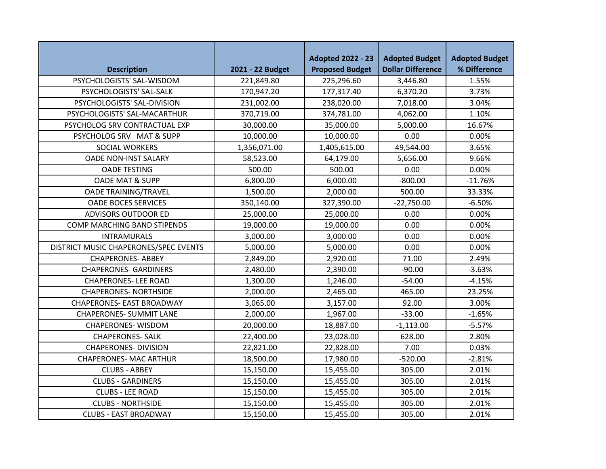|                                       |                  | <b>Adopted 2022 - 23</b> | <b>Adopted Budget</b><br><b>Adopted Budget</b> |              |
|---------------------------------------|------------------|--------------------------|------------------------------------------------|--------------|
| <b>Description</b>                    | 2021 - 22 Budget | <b>Proposed Budget</b>   | <b>Dollar Difference</b>                       | % Difference |
| PSYCHOLOGISTS' SAL-WISDOM             | 221,849.80       | 225,296.60               | 3,446.80                                       | 1.55%        |
| PSYCHOLOGISTS' SAL-SALK               | 170,947.20       | 177,317.40               | 6,370.20                                       | 3.73%        |
| PSYCHOLOGISTS' SAL-DIVISION           | 231,002.00       | 238,020.00               | 7,018.00                                       | 3.04%        |
| PSYCHOLOGISTS' SAL-MACARTHUR          | 370,719.00       | 374,781.00               | 4,062.00                                       | 1.10%        |
| PSYCHOLOG SRV CONTRACTUAL EXP         | 30,000.00        | 35,000.00                | 5,000.00                                       | 16.67%       |
| PSYCHOLOG SRV MAT & SUPP              | 10,000.00        | 10,000.00                | 0.00                                           | 0.00%        |
| SOCIAL WORKERS                        | 1,356,071.00     | 1,405,615.00             | 49,544.00                                      | 3.65%        |
| <b>OADE NON-INST SALARY</b>           | 58,523.00        | 64,179.00                | 5,656.00                                       | 9.66%        |
| <b>OADE TESTING</b>                   | 500.00           | 500.00                   | 0.00                                           | 0.00%        |
| <b>OADE MAT &amp; SUPP</b>            | 6,800.00         | 6,000.00                 | $-800.00$                                      | $-11.76%$    |
| <b>OADE TRAINING/TRAVEL</b>           | 1,500.00         | 2,000.00                 | 500.00                                         | 33.33%       |
| <b>OADE BOCES SERVICES</b>            | 350,140.00       | 327,390.00               | $-22,750.00$                                   | $-6.50%$     |
| ADVISORS OUTDOOR ED                   | 25,000.00        | 25,000.00                | 0.00                                           | 0.00%        |
| COMP MARCHING BAND STIPENDS           | 19,000.00        | 19,000.00                | 0.00                                           | 0.00%        |
| <b>INTRAMURALS</b>                    | 3,000.00         | 3,000.00                 | 0.00                                           | 0.00%        |
| DISTRICT MUSIC CHAPERONES/SPEC EVENTS | 5,000.00         | 5,000.00                 | 0.00                                           | 0.00%        |
| <b>CHAPERONES- ABBEY</b>              | 2,849.00         | 2,920.00                 | 71.00                                          | 2.49%        |
| <b>CHAPERONES- GARDINERS</b>          | 2,480.00         | 2,390.00                 | $-90.00$                                       | $-3.63%$     |
| <b>CHAPERONES-LEE ROAD</b>            | 1,300.00         | 1,246.00                 | $-54.00$                                       | $-4.15%$     |
| <b>CHAPERONES- NORTHSIDE</b>          | 2,000.00         | 2,465.00                 | 465.00                                         | 23.25%       |
| <b>CHAPERONES- EAST BROADWAY</b>      | 3,065.00         | 3,157.00                 | 92.00                                          | 3.00%        |
| <b>CHAPERONES- SUMMIT LANE</b>        | 2,000.00         | 1,967.00                 | $-33.00$                                       | $-1.65%$     |
| <b>CHAPERONES-WISDOM</b>              | 20,000.00        | 18,887.00                | $-1,113.00$                                    | $-5.57%$     |
| <b>CHAPERONES- SALK</b>               | 22,400.00        | 23,028.00                | 628.00                                         | 2.80%        |
| <b>CHAPERONES- DIVISION</b>           | 22,821.00        | 22,828.00                | 7.00                                           | 0.03%        |
| <b>CHAPERONES- MAC ARTHUR</b>         | 18,500.00        | 17,980.00                | $-520.00$                                      | $-2.81%$     |
| <b>CLUBS - ABBEY</b>                  | 15,150.00        | 15,455.00                | 305.00                                         | 2.01%        |
| <b>CLUBS - GARDINERS</b>              | 15,150.00        | 15,455.00                | 305.00                                         | 2.01%        |
| <b>CLUBS - LEE ROAD</b>               | 15,150.00        | 15,455.00                | 305.00                                         | 2.01%        |
| <b>CLUBS - NORTHSIDE</b>              | 15,150.00        | 15,455.00                | 305.00                                         | 2.01%        |
| <b>CLUBS - EAST BROADWAY</b>          | 15,150.00        | 15,455.00                | 305.00                                         | 2.01%        |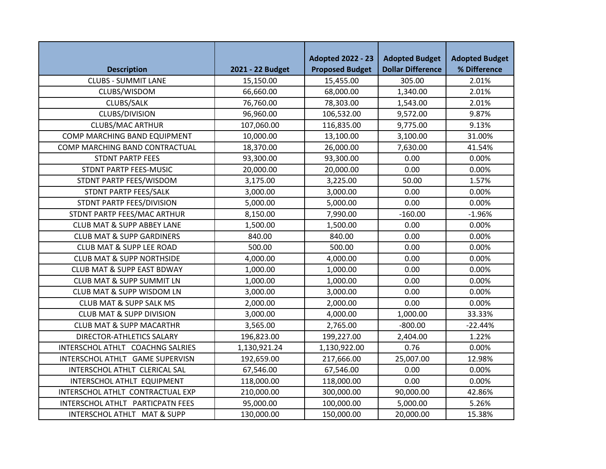|                                       |                  | <b>Adopted 2022 - 23</b> | <b>Adopted Budget</b>    | <b>Adopted Budget</b> |
|---------------------------------------|------------------|--------------------------|--------------------------|-----------------------|
| <b>Description</b>                    | 2021 - 22 Budget | <b>Proposed Budget</b>   | <b>Dollar Difference</b> | % Difference          |
| <b>CLUBS - SUMMIT LANE</b>            | 15,150.00        | 15,455.00                | 305.00                   | 2.01%                 |
| CLUBS/WISDOM                          | 66,660.00        | 68,000.00                | 1,340.00                 | 2.01%                 |
| CLUBS/SALK                            | 76,760.00        | 78,303.00                | 1,543.00                 | 2.01%                 |
| CLUBS/DIVISION                        | 96,960.00        | 106,532.00               | 9,572.00                 | 9.87%                 |
| <b>CLUBS/MAC ARTHUR</b>               | 107,060.00       | 116,835.00               | 9,775.00                 | 9.13%                 |
| COMP MARCHING BAND EQUIPMENT          | 10,000.00        | 13,100.00                | 3,100.00                 | 31.00%                |
| COMP MARCHING BAND CONTRACTUAL        | 18,370.00        | 26,000.00                | 7,630.00                 | 41.54%                |
| <b>STDNT PARTP FEES</b>               | 93,300.00        | 93,300.00                | 0.00                     | 0.00%                 |
| STDNT PARTP FEES-MUSIC                | 20,000.00        | 20,000.00                | 0.00                     | 0.00%                 |
| STDNT PARTP FEES/WISDOM               | 3,175.00         | 3,225.00                 | 50.00                    | 1.57%                 |
| STDNT PARTP FEES/SALK                 | 3,000.00         | 3,000.00                 | 0.00                     | 0.00%                 |
| STDNT PARTP FEES/DIVISION             | 5,000.00         | 5,000.00                 | 0.00                     | 0.00%                 |
| STDNT PARTP FEES/MAC ARTHUR           | 8,150.00         | 7,990.00                 | $-160.00$                | $-1.96%$              |
| <b>CLUB MAT &amp; SUPP ABBEY LANE</b> | 1,500.00         | 1,500.00                 | 0.00                     | 0.00%                 |
| <b>CLUB MAT &amp; SUPP GARDINERS</b>  | 840.00           | 840.00                   | 0.00                     | 0.00%                 |
| <b>CLUB MAT &amp; SUPP LEE ROAD</b>   | 500.00           | 500.00                   | 0.00                     | 0.00%                 |
| <b>CLUB MAT &amp; SUPP NORTHSIDE</b>  | 4,000.00         | 4,000.00                 | 0.00                     | 0.00%                 |
| <b>CLUB MAT &amp; SUPP EAST BDWAY</b> | 1,000.00         | 1,000.00                 | 0.00                     | 0.00%                 |
| <b>CLUB MAT &amp; SUPP SUMMIT LN</b>  | 1,000.00         | 1,000.00                 | 0.00                     | 0.00%                 |
| CLUB MAT & SUPP WISDOM LN             | 3,000.00         | 3,000.00                 | 0.00                     | 0.00%                 |
| <b>CLUB MAT &amp; SUPP SALK MS</b>    | 2,000.00         | 2,000.00                 | 0.00                     | 0.00%                 |
| <b>CLUB MAT &amp; SUPP DIVISION</b>   | 3,000.00         | 4,000.00                 | 1,000.00                 | 33.33%                |
| <b>CLUB MAT &amp; SUPP MACARTHR</b>   | 3,565.00         | 2,765.00                 | $-800.00$                | $-22.44%$             |
| DIRECTOR-ATHLETICS SALARY             | 196,823.00       | 199,227.00               | 2,404.00                 | 1.22%                 |
| INTERSCHOL ATHLT COACHNG SALRIES      | 1,130,921.24     | 1,130,922.00             | 0.76                     | 0.00%                 |
| INTERSCHOL ATHLT GAME SUPERVISN       | 192,659.00       | 217,666.00               | 25,007.00                | 12.98%                |
| INTERSCHOL ATHLT CLERICAL SAL         | 67,546.00        | 67,546.00                | 0.00                     | 0.00%                 |
| INTERSCHOL ATHLT EQUIPMENT            | 118,000.00       | 118,000.00               | 0.00                     | 0.00%                 |
| INTERSCHOL ATHLT CONTRACTUAL EXP      | 210,000.00       | 300,000.00               | 90,000.00                | 42.86%                |
| INTERSCHOL ATHLT PARTICPATN FEES      | 95,000.00        | 100,000.00               | 5,000.00                 | 5.26%                 |
| INTERSCHOL ATHLT MAT & SUPP           | 130,000.00       | 150,000.00               | 20,000.00                | 15.38%                |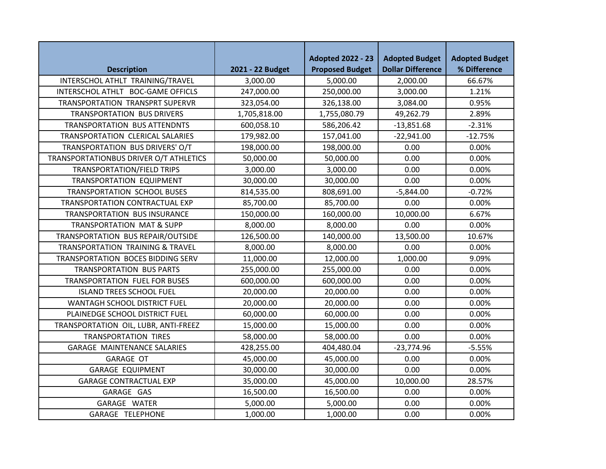| <b>Description</b>                     | 2021 - 22 Budget | <b>Adopted 2022 - 23</b><br><b>Proposed Budget</b> | <b>Adopted Budget</b><br><b>Dollar Difference</b> | <b>Adopted Budget</b><br>% Difference |
|----------------------------------------|------------------|----------------------------------------------------|---------------------------------------------------|---------------------------------------|
| INTERSCHOL ATHLT TRAINING/TRAVEL       | 3,000.00         | 5,000.00                                           | 2,000.00                                          | 66.67%                                |
| INTERSCHOL ATHLT BOC-GAME OFFICLS      | 247,000.00       | 250,000.00                                         | 3,000.00                                          | 1.21%                                 |
| TRANSPORTATION TRANSPRT SUPERVR        | 323,054.00       | 326,138.00                                         | 3,084.00                                          | 0.95%                                 |
| <b>TRANSPORTATION BUS DRIVERS</b>      | 1,705,818.00     | 1,755,080.79                                       | 49,262.79                                         | 2.89%                                 |
| <b>TRANSPORTATION BUS ATTENDNTS</b>    | 600,058.10       | 586,206.42                                         | $-13,851.68$                                      | $-2.31%$                              |
| TRANSPORTATION CLERICAL SALARIES       | 179,982.00       | 157,041.00                                         | $-22,941.00$                                      | $-12.75%$                             |
| TRANSPORTATION BUS DRIVERS' O/T        | 198,000.00       | 198,000.00                                         | 0.00                                              | 0.00%                                 |
| TRANSPORTATIONBUS DRIVER O/T ATHLETICS | 50,000.00        | 50,000.00                                          | 0.00                                              | 0.00%                                 |
| TRANSPORTATION/FIELD TRIPS             | 3,000.00         | 3,000.00                                           | 0.00                                              | 0.00%                                 |
| TRANSPORTATION EQUIPMENT               | 30,000.00        | 30,000.00                                          | 0.00                                              | 0.00%                                 |
| TRANSPORTATION SCHOOL BUSES            | 814,535.00       | 808,691.00                                         | $-5,844.00$                                       | $-0.72%$                              |
| TRANSPORTATION CONTRACTUAL EXP         | 85,700.00        | 85,700.00                                          | 0.00                                              | 0.00%                                 |
| TRANSPORTATION BUS INSURANCE           | 150,000.00       | 160,000.00                                         | 10,000.00                                         | 6.67%                                 |
| <b>TRANSPORTATION MAT &amp; SUPP</b>   | 8,000.00         | 8,000.00                                           | 0.00                                              | 0.00%                                 |
| TRANSPORTATION BUS REPAIR/OUTSIDE      | 126,500.00       | 140,000.00                                         | 13,500.00                                         | 10.67%                                |
| TRANSPORTATION TRAINING & TRAVEL       | 8,000.00         | 8,000.00                                           | 0.00                                              | 0.00%                                 |
| TRANSPORTATION BOCES BIDDING SERV      | 11,000.00        | 12,000.00                                          | 1,000.00                                          | 9.09%                                 |
| <b>TRANSPORTATION BUS PARTS</b>        | 255,000.00       | 255,000.00                                         | 0.00                                              | 0.00%                                 |
| TRANSPORTATION FUEL FOR BUSES          | 600,000.00       | 600,000.00                                         | 0.00                                              | 0.00%                                 |
| <b>ISLAND TREES SCHOOL FUEL</b>        | 20,000.00        | 20,000.00                                          | 0.00                                              | 0.00%                                 |
| WANTAGH SCHOOL DISTRICT FUEL           | 20,000.00        | 20,000.00                                          | 0.00                                              | 0.00%                                 |
| PLAINEDGE SCHOOL DISTRICT FUEL         | 60,000.00        | 60,000.00                                          | 0.00                                              | 0.00%                                 |
| TRANSPORTATION OIL, LUBR, ANTI-FREEZ   | 15,000.00        | 15,000.00                                          | 0.00                                              | 0.00%                                 |
| <b>TRANSPORTATION TIRES</b>            | 58,000.00        | 58,000.00                                          | 0.00                                              | 0.00%                                 |
| <b>GARAGE MAINTENANCE SALARIES</b>     | 428,255.00       | 404,480.04                                         | $-23,774.96$                                      | $-5.55%$                              |
| <b>GARAGE OT</b>                       | 45,000.00        | 45,000.00                                          | 0.00                                              | 0.00%                                 |
| <b>GARAGE EQUIPMENT</b>                | 30,000.00        | 30,000.00                                          | 0.00                                              | 0.00%                                 |
| <b>GARAGE CONTRACTUAL EXP</b>          | 35,000.00        | 45,000.00                                          | 10,000.00                                         | 28.57%                                |
| GARAGE GAS                             | 16,500.00        | 16,500.00                                          | 0.00                                              | 0.00%                                 |
| GARAGE WATER                           | 5,000.00         | 5,000.00                                           | 0.00                                              | 0.00%                                 |
| GARAGE TELEPHONE                       | 1,000.00         | 1,000.00                                           | 0.00                                              | 0.00%                                 |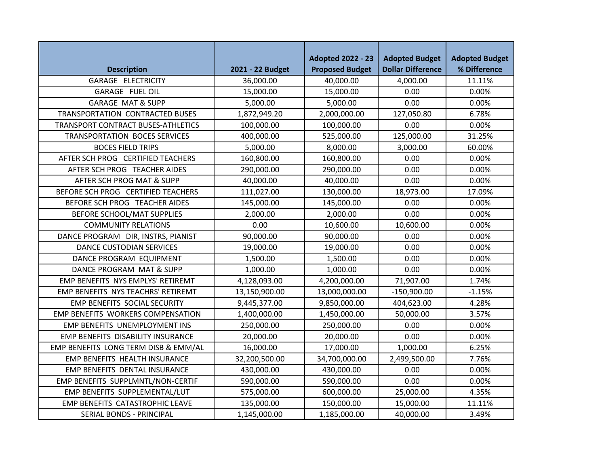| <b>Description</b>                       | 2021 - 22 Budget | <b>Adopted 2022 - 23</b><br><b>Proposed Budget</b> | <b>Adopted Budget</b><br><b>Dollar Difference</b> | <b>Adopted Budget</b><br>% Difference |
|------------------------------------------|------------------|----------------------------------------------------|---------------------------------------------------|---------------------------------------|
| GARAGE ELECTRICITY                       | 36,000.00        | 40,000.00                                          | 4,000.00                                          | 11.11%                                |
| GARAGE FUEL OIL                          | 15,000.00        | 15,000.00                                          | 0.00                                              | 0.00%                                 |
| <b>GARAGE MAT &amp; SUPP</b>             | 5,000.00         | 5,000.00                                           | 0.00                                              | 0.00%                                 |
| <b>TRANSPORTATION CONTRACTED BUSES</b>   | 1,872,949.20     | 2,000,000.00                                       | 127,050.80                                        | 6.78%                                 |
| TRANSPORT CONTRACT BUSES-ATHLETICS       | 100,000.00       | 100,000.00                                         | 0.00                                              | 0.00%                                 |
| TRANSPORTATION BOCES SERVICES            | 400,000.00       | 525,000.00                                         | 125,000.00                                        | 31.25%                                |
| <b>BOCES FIELD TRIPS</b>                 | 5,000.00         | 8,000.00                                           | 3,000.00                                          | 60.00%                                |
| AFTER SCH PROG CERTIFIED TEACHERS        | 160,800.00       | 160,800.00                                         | 0.00                                              | 0.00%                                 |
| AFTER SCH PROG TEACHER AIDES             | 290,000.00       | 290,000.00                                         | 0.00                                              | 0.00%                                 |
| AFTER SCH PROG MAT & SUPP                | 40,000.00        | 40,000.00                                          | 0.00                                              | 0.00%                                 |
| BEFORE SCH PROG CERTIFIED TEACHERS       | 111,027.00       | 130,000.00                                         | 18,973.00                                         | 17.09%                                |
| BEFORE SCH PROG TEACHER AIDES            | 145,000.00       | 145,000.00                                         | 0.00                                              | 0.00%                                 |
| BEFORE SCHOOL/MAT SUPPLIES               | 2,000.00         | 2,000.00                                           | 0.00                                              | 0.00%                                 |
| <b>COMMUNITY RELATIONS</b>               | 0.00             | 10,600.00                                          | 10,600.00                                         | 0.00%                                 |
| DANCE PROGRAM DIR, INSTRS, PIANIST       | 90,000.00        | 90,000.00                                          | 0.00                                              | 0.00%                                 |
| DANCE CUSTODIAN SERVICES                 | 19,000.00        | 19,000.00                                          | 0.00                                              | 0.00%                                 |
| DANCE PROGRAM EQUIPMENT                  | 1,500.00         | 1,500.00                                           | 0.00                                              | 0.00%                                 |
| DANCE PROGRAM MAT & SUPP                 | 1,000.00         | 1,000.00                                           | 0.00                                              | 0.00%                                 |
| EMP BENEFITS NYS EMPLYS' RETIREMT        | 4,128,093.00     | 4,200,000.00                                       | 71,907.00                                         | 1.74%                                 |
| EMP BENEFITS NYS TEACHRS' RETIREMT       | 13,150,900.00    | 13,000,000.00                                      | $-150,900.00$                                     | $-1.15%$                              |
| <b>EMP BENEFITS SOCIAL SECURITY</b>      | 9,445,377.00     | 9,850,000.00                                       | 404,623.00                                        | 4.28%                                 |
| <b>EMP BENEFITS WORKERS COMPENSATION</b> | 1,400,000.00     | 1,450,000.00                                       | 50,000.00                                         | 3.57%                                 |
| EMP BENEFITS UNEMPLOYMENT INS            | 250,000.00       | 250,000.00                                         | 0.00                                              | 0.00%                                 |
| EMP BENEFITS DISABILITY INSURANCE        | 20,000.00        | 20,000.00                                          | 0.00                                              | 0.00%                                 |
| EMP BENEFITS LONG TERM DISB & EMM/AL     | 16,000.00        | 17,000.00                                          | 1,000.00                                          | 6.25%                                 |
| EMP BENEFITS HEALTH INSURANCE            | 32,200,500.00    | 34,700,000.00                                      | 2,499,500.00                                      | 7.76%                                 |
| EMP BENEFITS DENTAL INSURANCE            | 430,000.00       | 430,000.00                                         | 0.00                                              | 0.00%                                 |
| EMP BENEFITS SUPPLMNTL/NON-CERTIF        | 590,000.00       | 590,000.00                                         | 0.00                                              | 0.00%                                 |
| EMP BENEFITS SUPPLEMENTAL/LUT            | 575,000.00       | 600,000.00                                         | 25,000.00                                         | 4.35%                                 |
| EMP BENEFITS CATASTROPHIC LEAVE          | 135,000.00       | 150,000.00                                         | 15,000.00                                         | 11.11%                                |
| <b>SERIAL BONDS - PRINCIPAL</b>          | 1,145,000.00     | 1,185,000.00                                       | 40,000.00                                         | 3.49%                                 |